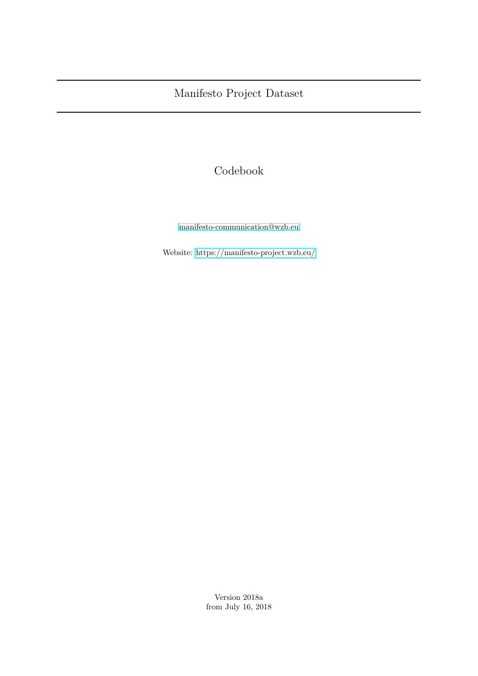# Codebook

[manifesto-communication@wzb.eu](mailto:manifesto-communication@wzb.eu)

Website:<https://manifesto-project.wzb.eu/>

Version 2018a from July 16, 2018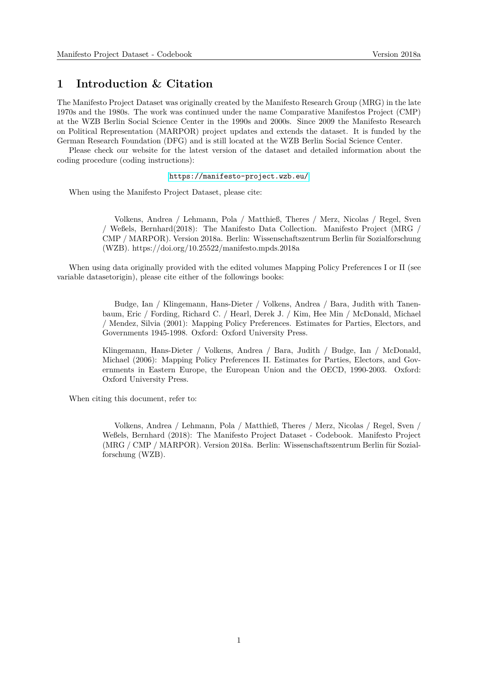#### **1 Introduction & Citation**

The Manifesto Project Dataset was originally created by the Manifesto Research Group (MRG) in the late 1970s and the 1980s. The work was continued under the name Comparative Manifestos Project (CMP) at the WZB Berlin Social Science Center in the 1990s and 2000s. Since 2009 the Manifesto Research on Political Representation (MARPOR) project updates and extends the dataset. It is funded by the German Research Foundation (DFG) and is still located at the WZB Berlin Social Science Center.

Please check our website for the latest version of the dataset and detailed information about the coding procedure (coding instructions):

#### <https://manifesto-project.wzb.eu/>

When using the Manifesto Project Dataset, please cite:

Volkens, Andrea / Lehmann, Pola / Matthieß, Theres / Merz, Nicolas / Regel, Sven / Weßels, Bernhard(2018): The Manifesto Data Collection. Manifesto Project (MRG / CMP / MARPOR). Version 2018a. Berlin: Wissenschaftszentrum Berlin für Sozialforschung (WZB). https://doi.org/10.25522/manifesto.mpds.2018a

When using data originally provided with the edited volumes Mapping Policy Preferences I or II (see variable datasetorigin), please cite either of the followings books:

> Budge, Ian / Klingemann, Hans-Dieter / Volkens, Andrea / Bara, Judith with Tanenbaum, Eric / Fording, Richard C. / Hearl, Derek J. / Kim, Hee Min / McDonald, Michael / Mendez, Silvia (2001): Mapping Policy Preferences. Estimates for Parties, Electors, and Governments 1945-1998. Oxford: Oxford University Press.

> Klingemann, Hans-Dieter / Volkens, Andrea / Bara, Judith / Budge, Ian / McDonald, Michael (2006): Mapping Policy Preferences II. Estimates for Parties, Electors, and Governments in Eastern Europe, the European Union and the OECD, 1990-2003. Oxford: Oxford University Press.

When citing this document, refer to:

Volkens, Andrea / Lehmann, Pola / Matthieß, Theres / Merz, Nicolas / Regel, Sven / Weßels, Bernhard (2018): The Manifesto Project Dataset - Codebook. Manifesto Project (MRG / CMP / MARPOR). Version 2018a. Berlin: Wissenschaftszentrum Berlin für Sozialforschung (WZB).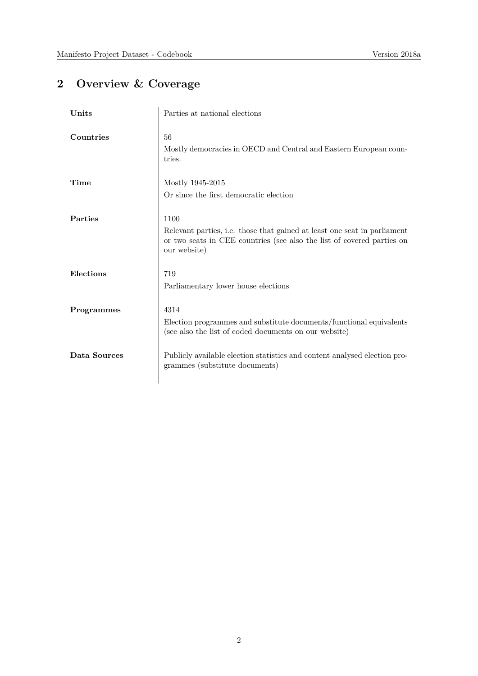# **2 Overview & Coverage**

| Units          | Parties at national elections                                                                                                                                              |
|----------------|----------------------------------------------------------------------------------------------------------------------------------------------------------------------------|
| Countries      | 56<br>Mostly democracies in OECD and Central and Eastern European coun-<br>tries.                                                                                          |
| Time           | Mostly 1945-2015<br>Or since the first democratic election                                                                                                                 |
| <b>Parties</b> | 1100<br>Relevant parties, i.e. those that gained at least one seat in parliament<br>or two seats in CEE countries (see also the list of covered parties on<br>our website) |
| Elections      | 719<br>Parliamentary lower house elections                                                                                                                                 |
| Programmes     | 4314<br>Election programmes and substitute documents/functional equivalents<br>(see also the list of coded documents on our website)                                       |
| Data Sources   | Publicly available election statistics and content analysed election pro-<br>grammes (substitute documents)                                                                |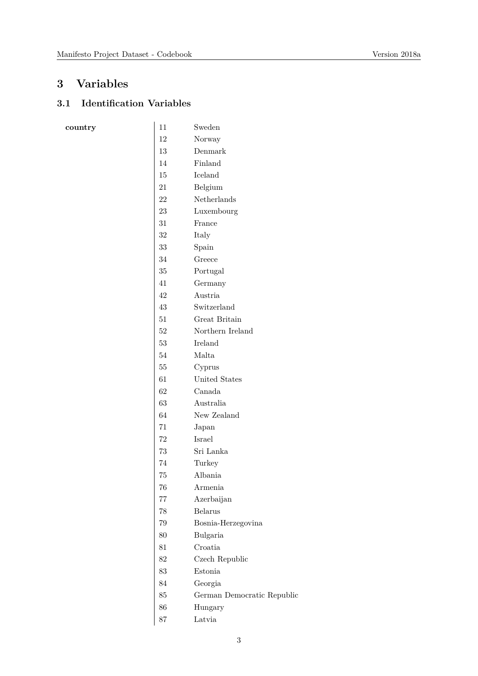## **3 Variables**

 $\frac{1}{2}$  country

## **3.1 Identification Variables**

| 11     | Sweden                     |
|--------|----------------------------|
| 12     | Norway                     |
| 13     | Denmark                    |
| 14     | Finland                    |
| 15     | Iceland                    |
| 21     | Belgium                    |
| 22     | Netherlands                |
| 23     | Luxembourg                 |
| 31     | France                     |
| $32\,$ | Italy                      |
| $33\,$ | Spain                      |
| 34     | Greece                     |
| 35     | Portugal                   |
| 41     | Germany                    |
| 42     | Austria                    |
| 43     | Switzerland                |
| 51     | Great Britain              |
| 52     | Northern Ireland           |
| 53     | Ireland                    |
| 54     | Malta                      |
| $55\,$ | Cyprus                     |
| 61     | United States              |
| 62     | Canada                     |
| 63     | Australia                  |
| 64     | New Zealand                |
| 71     | Japan                      |
| 72     | Israel                     |
| 73     | Sri Lanka                  |
| 74     | Turkey                     |
| 75     | Albania                    |
| 76     | Armenia                    |
| 77     | Azerbaijan                 |
| 78     | <b>Belarus</b>             |
| 79     | Bosnia-Herzegovina         |
| 80     | Bulgaria                   |
| 81     | Croatia                    |
| 82     | Czech Republic             |
| 83     | Estonia                    |
| 84     | Georgia                    |
| 85     | German Democratic Republic |
| 86     | Hungary                    |
| 87     | Latvia                     |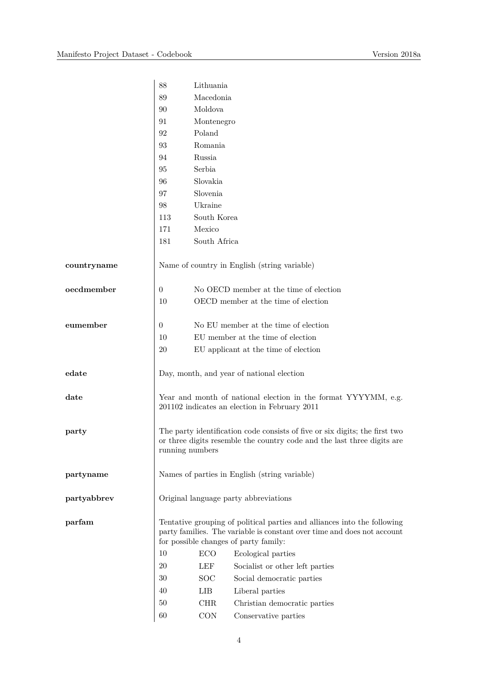|             | 88                                                                                                                                                                                           | Lithuania    |                                                                                                                                                        |
|-------------|----------------------------------------------------------------------------------------------------------------------------------------------------------------------------------------------|--------------|--------------------------------------------------------------------------------------------------------------------------------------------------------|
|             | 89                                                                                                                                                                                           | Macedonia    |                                                                                                                                                        |
|             | 90                                                                                                                                                                                           | Moldova      |                                                                                                                                                        |
|             | 91                                                                                                                                                                                           | Montenegro   |                                                                                                                                                        |
|             | 92                                                                                                                                                                                           | Poland       |                                                                                                                                                        |
|             | 93                                                                                                                                                                                           | Romania      |                                                                                                                                                        |
|             | 94                                                                                                                                                                                           | Russia       |                                                                                                                                                        |
|             | 95                                                                                                                                                                                           | Serbia       |                                                                                                                                                        |
|             | 96                                                                                                                                                                                           | Slovakia     |                                                                                                                                                        |
|             | 97                                                                                                                                                                                           | Slovenia     |                                                                                                                                                        |
|             | 98                                                                                                                                                                                           | Ukraine      |                                                                                                                                                        |
|             | 113                                                                                                                                                                                          | South Korea  |                                                                                                                                                        |
|             | 171                                                                                                                                                                                          | Mexico       |                                                                                                                                                        |
|             | 181                                                                                                                                                                                          | South Africa |                                                                                                                                                        |
| countryname |                                                                                                                                                                                              |              | Name of country in English (string variable)                                                                                                           |
| oecdmember  | $\overline{0}$                                                                                                                                                                               |              | No OECD member at the time of election                                                                                                                 |
|             | 10                                                                                                                                                                                           |              | OECD member at the time of election                                                                                                                    |
| eumember    | 0                                                                                                                                                                                            |              | No EU member at the time of election                                                                                                                   |
|             | 10                                                                                                                                                                                           |              | EU member at the time of election                                                                                                                      |
|             | 20                                                                                                                                                                                           |              | EU applicant at the time of election                                                                                                                   |
| edate       | Day, month, and year of national election                                                                                                                                                    |              |                                                                                                                                                        |
| date        |                                                                                                                                                                                              |              | Year and month of national election in the format YYYYMM, e.g.<br>201102 indicates an election in February 2011                                        |
| party       | running numbers                                                                                                                                                                              |              | The party identification code consists of five or six digits; the first two<br>or three digits resemble the country code and the last three digits are |
| partyname   | Names of parties in English (string variable)                                                                                                                                                |              |                                                                                                                                                        |
| partyabbrev | Original language party abbreviations                                                                                                                                                        |              |                                                                                                                                                        |
| parfam      | Tentative grouping of political parties and alliances into the following<br>party families. The variable is constant over time and does not account<br>for possible changes of party family: |              |                                                                                                                                                        |
|             | 10                                                                                                                                                                                           | ECO          | Ecological parties                                                                                                                                     |
|             | 20                                                                                                                                                                                           | LEF          | Socialist or other left parties                                                                                                                        |
|             | 30                                                                                                                                                                                           | <b>SOC</b>   | Social democratic parties                                                                                                                              |
|             | 40                                                                                                                                                                                           | LIB          | Liberal parties                                                                                                                                        |
|             | 50                                                                                                                                                                                           | <b>CHR</b>   | Christian democratic parties                                                                                                                           |
|             | 60                                                                                                                                                                                           | CON          | Conservative parties                                                                                                                                   |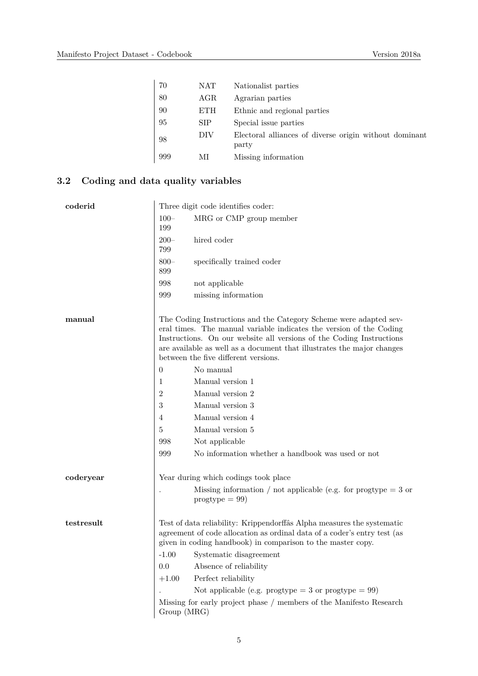| 70  | NAT        | Nationalist parties                                             |
|-----|------------|-----------------------------------------------------------------|
| 80  | AGR        | Agrarian parties                                                |
| 90  | <b>ETH</b> | Ethnic and regional parties                                     |
| 95  | <b>SIP</b> | Special issue parties                                           |
| 98  | DIV        | Electoral alliances of diverse origin without dominant<br>party |
| 999 | МI         | Missing information                                             |

#### **3.2 Coding and data quality variables**

| coderid    | Three digit code identifies coder: |                                                                                                                                                                                                                                                                                                                                    |
|------------|------------------------------------|------------------------------------------------------------------------------------------------------------------------------------------------------------------------------------------------------------------------------------------------------------------------------------------------------------------------------------|
|            | $100 -$<br>199                     | MRG or CMP group member                                                                                                                                                                                                                                                                                                            |
|            | $200 -$<br>799                     | hired coder                                                                                                                                                                                                                                                                                                                        |
|            | $800 -$<br>899                     | specifically trained coder                                                                                                                                                                                                                                                                                                         |
|            | 998                                | not applicable                                                                                                                                                                                                                                                                                                                     |
|            | 999                                | missing information                                                                                                                                                                                                                                                                                                                |
| manual     |                                    | The Coding Instructions and the Category Scheme were adapted sev-<br>eral times. The manual variable indicates the version of the Coding<br>Instructions. On our website all versions of the Coding Instructions<br>are available as well as a document that illustrates the major changes<br>between the five different versions. |
|            | $\overline{0}$                     | No manual                                                                                                                                                                                                                                                                                                                          |
|            | 1                                  | Manual version 1                                                                                                                                                                                                                                                                                                                   |
|            | $\overline{2}$                     | Manual version 2                                                                                                                                                                                                                                                                                                                   |
|            | 3                                  | Manual version 3                                                                                                                                                                                                                                                                                                                   |
|            | 4                                  | Manual version 4                                                                                                                                                                                                                                                                                                                   |
|            | 5                                  | Manual version 5                                                                                                                                                                                                                                                                                                                   |
|            | 998                                | Not applicable                                                                                                                                                                                                                                                                                                                     |
|            | 999                                | No information whether a handbook was used or not                                                                                                                                                                                                                                                                                  |
| coderyear  |                                    | Year during which codings took place                                                                                                                                                                                                                                                                                               |
|            |                                    | Missing information / not applicable (e.g. for progtype $=$ 3 or<br>$progtype = 99$                                                                                                                                                                                                                                                |
| testresult |                                    | Test of data reliability: Krippendorffâs Alpha measures the systematic<br>agreement of code allocation as ordinal data of a coder's entry test (as<br>given in coding handbook) in comparison to the master copy.                                                                                                                  |
|            |                                    | -1.00 Systematic disagreement                                                                                                                                                                                                                                                                                                      |
|            | 0.0                                | Absence of reliability                                                                                                                                                                                                                                                                                                             |
|            | $+1.00$                            | Perfect reliability                                                                                                                                                                                                                                                                                                                |
|            |                                    | Not applicable (e.g. progtype = 3 or progtype = $99$ )                                                                                                                                                                                                                                                                             |
|            | Group (MRG)                        | Missing for early project phase / members of the Manifesto Research                                                                                                                                                                                                                                                                |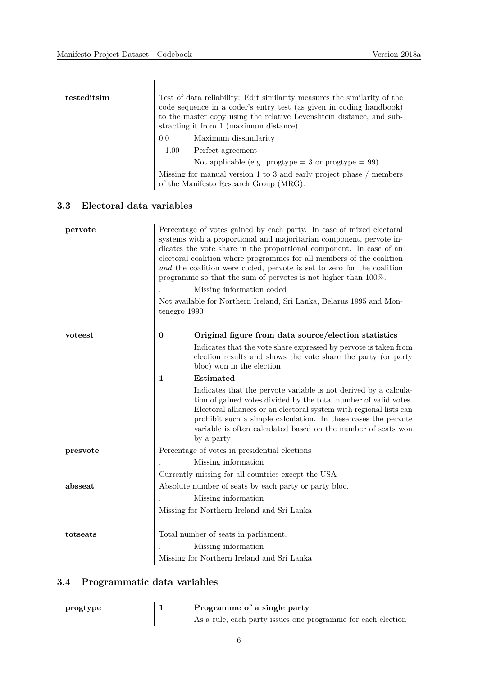| testeditsim | Test of data reliability: Edit similarity measures the similarity of the<br>code sequence in a coder's entry test (as given in coding handbook)<br>to the master copy using the relative Levenshtein distance, and sub-<br>stracting it from 1 (maximum distance). |                                                                                                               |
|-------------|--------------------------------------------------------------------------------------------------------------------------------------------------------------------------------------------------------------------------------------------------------------------|---------------------------------------------------------------------------------------------------------------|
|             | $0.0\,$                                                                                                                                                                                                                                                            | Maximum dissimilarity                                                                                         |
|             |                                                                                                                                                                                                                                                                    | $+1.00$ Perfect agreement                                                                                     |
|             |                                                                                                                                                                                                                                                                    | Not applicable (e.g. progtype $=$ 3 or progtype $=$ 99)                                                       |
|             |                                                                                                                                                                                                                                                                    | Missing for manual version 1 to 3 and early project phase / members<br>of the Manifesto Research Group (MRG). |

#### **3.3 Electoral data variables**

| pervote  |              | Percentage of votes gained by each party. In case of mixed electoral<br>systems with a proportional and majoritarian component, pervote in-<br>dicates the vote share in the proportional component. In case of an<br>electoral coalition where programmes for all members of the coalition<br>and the coalition were coded, pervote is set to zero for the coalition<br>programme so that the sum of pervotes is not higher than $100\%$ . |
|----------|--------------|---------------------------------------------------------------------------------------------------------------------------------------------------------------------------------------------------------------------------------------------------------------------------------------------------------------------------------------------------------------------------------------------------------------------------------------------|
|          |              | Missing information coded                                                                                                                                                                                                                                                                                                                                                                                                                   |
|          | tenegro 1990 | Not available for Northern Ireland, Sri Lanka, Belarus 1995 and Mon-                                                                                                                                                                                                                                                                                                                                                                        |
| voteest  | $\bf{0}$     | Original figure from data source/election statistics                                                                                                                                                                                                                                                                                                                                                                                        |
|          |              | Indicates that the vote share expressed by pervote is taken from<br>election results and shows the vote share the party (or party<br>bloc) won in the election                                                                                                                                                                                                                                                                              |
|          | $\mathbf{1}$ | Estimated                                                                                                                                                                                                                                                                                                                                                                                                                                   |
|          |              | Indicates that the pervote variable is not derived by a calcula-<br>tion of gained votes divided by the total number of valid votes.<br>Electoral alliances or an electoral system with regional lists can<br>prohibit such a simple calculation. In these cases the pervote<br>variable is often calculated based on the number of seats won<br>by a party                                                                                 |
| presvote |              | Percentage of votes in presidential elections                                                                                                                                                                                                                                                                                                                                                                                               |
|          |              | Missing information                                                                                                                                                                                                                                                                                                                                                                                                                         |
|          |              | Currently missing for all countries except the USA                                                                                                                                                                                                                                                                                                                                                                                          |
| absseat  |              | Absolute number of seats by each party or party bloc.                                                                                                                                                                                                                                                                                                                                                                                       |
|          |              | Missing information                                                                                                                                                                                                                                                                                                                                                                                                                         |
|          |              | Missing for Northern Ireland and Sri Lanka                                                                                                                                                                                                                                                                                                                                                                                                  |
| totseats |              | Total number of seats in parliament.                                                                                                                                                                                                                                                                                                                                                                                                        |
|          |              | Missing information                                                                                                                                                                                                                                                                                                                                                                                                                         |
|          |              | Missing for Northern Ireland and Sri Lanka                                                                                                                                                                                                                                                                                                                                                                                                  |

#### **3.4 Programmatic data variables**

| progtype | Programme of a single party                                  |
|----------|--------------------------------------------------------------|
|          | As a rule, each party issues one programme for each election |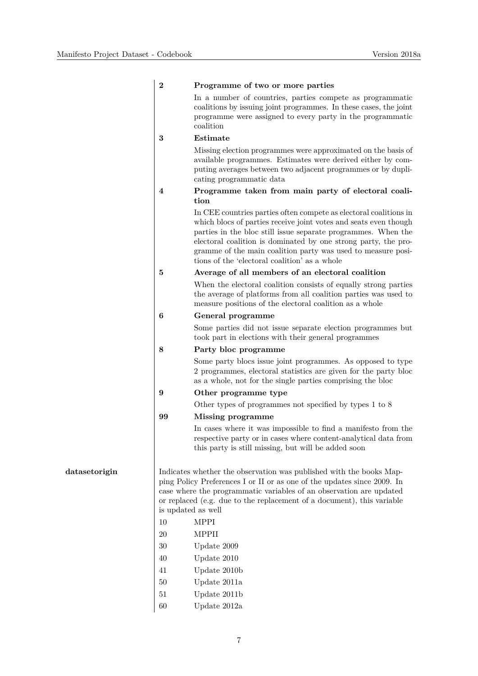|               | $\boldsymbol{2}$        | Programme of two or more parties                                                                                                                                                                                                                                                                                                                                                          |
|---------------|-------------------------|-------------------------------------------------------------------------------------------------------------------------------------------------------------------------------------------------------------------------------------------------------------------------------------------------------------------------------------------------------------------------------------------|
|               |                         | In a number of countries, parties compete as programmatic<br>coalitions by issuing joint programmes. In these cases, the joint<br>programme were assigned to every party in the programmatic<br>coalition                                                                                                                                                                                 |
|               | 3                       | Estimate                                                                                                                                                                                                                                                                                                                                                                                  |
|               |                         | Missing election programmes were approximated on the basis of<br>available programmes. Estimates were derived either by com-<br>puting averages between two adjacent programmes or by dupli-<br>cating programmatic data                                                                                                                                                                  |
|               | $\overline{\mathbf{4}}$ | Programme taken from main party of electoral coali-<br>tion                                                                                                                                                                                                                                                                                                                               |
|               |                         | In CEE countries parties often compete as electoral coalitions in<br>which blocs of parties receive joint votes and seats even though<br>parties in the bloc still issue separate programmes. When the<br>electoral coalition is dominated by one strong party, the pro-<br>gramme of the main coalition party was used to measure posi-<br>tions of the 'electoral coalition' as a whole |
|               | $\bf{5}$                | Average of all members of an electoral coalition                                                                                                                                                                                                                                                                                                                                          |
|               |                         | When the electoral coalition consists of equally strong parties<br>the average of platforms from all coalition parties was used to<br>measure positions of the electoral coalition as a whole                                                                                                                                                                                             |
| 6             |                         | General programme                                                                                                                                                                                                                                                                                                                                                                         |
|               |                         | Some parties did not issue separate election programmes but<br>took part in elections with their general programmes                                                                                                                                                                                                                                                                       |
|               | 8                       | Party bloc programme                                                                                                                                                                                                                                                                                                                                                                      |
|               |                         | Some party blocs issue joint programmes. As opposed to type<br>2 programmes, electoral statistics are given for the party bloc<br>as a whole, not for the single parties comprising the bloc                                                                                                                                                                                              |
|               | 9                       | Other programme type                                                                                                                                                                                                                                                                                                                                                                      |
|               |                         | Other types of programmes not specified by types 1 to 8                                                                                                                                                                                                                                                                                                                                   |
|               | 99                      | Missing programme                                                                                                                                                                                                                                                                                                                                                                         |
|               |                         | In cases where it was impossible to find a manifesto from the<br>respective party or in cases where content-analytical data from<br>this party is still missing, but will be added soon                                                                                                                                                                                                   |
| datasetorigin |                         | Indicates whether the observation was published with the books Map-<br>ping Policy Preferences I or II or as one of the updates since 2009. In<br>case where the programmatic variables of an observation are updated<br>or replaced (e.g. due to the replacement of a document), this variable<br>is updated as well                                                                     |
|               | 10                      | <b>MPPI</b>                                                                                                                                                                                                                                                                                                                                                                               |
|               | 20                      | <b>MPPII</b>                                                                                                                                                                                                                                                                                                                                                                              |
|               | 30                      | Update 2009                                                                                                                                                                                                                                                                                                                                                                               |
|               | 40                      | Update 2010                                                                                                                                                                                                                                                                                                                                                                               |
|               | 41                      | Update $2010b$                                                                                                                                                                                                                                                                                                                                                                            |
|               | 50                      | Update 2011a                                                                                                                                                                                                                                                                                                                                                                              |
|               | 51                      | Update $2011b$                                                                                                                                                                                                                                                                                                                                                                            |
|               | 60                      | Update 2012a                                                                                                                                                                                                                                                                                                                                                                              |
|               |                         |                                                                                                                                                                                                                                                                                                                                                                                           |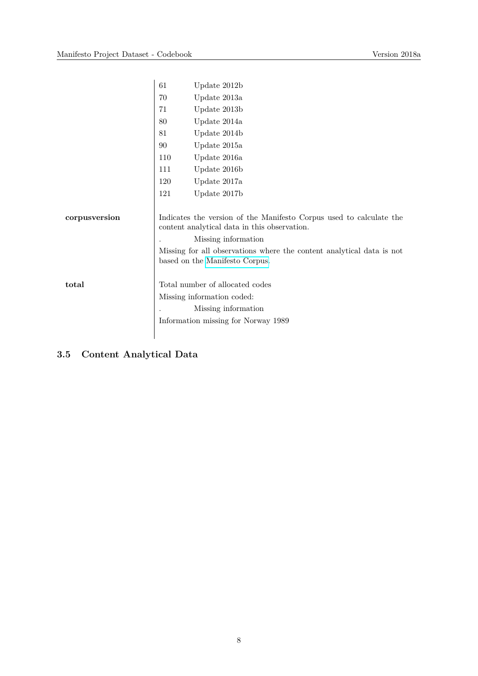|               | 61  | Update 2012b                                                                                                        |
|---------------|-----|---------------------------------------------------------------------------------------------------------------------|
|               | 70  | Update 2013a                                                                                                        |
|               | 71  | Update 2013b                                                                                                        |
|               | 80  | Update 2014a                                                                                                        |
|               | 81  | Update 2014b                                                                                                        |
|               | 90  | Update 2015a                                                                                                        |
|               | 110 | Update 2016a                                                                                                        |
|               | 111 | Update 2016b                                                                                                        |
|               | 120 | Update 2017a                                                                                                        |
|               | 121 | Update 2017b                                                                                                        |
|               |     |                                                                                                                     |
| corpusversion |     | Indicates the version of the Manifesto Corpus used to calculate the<br>content analytical data in this observation. |
|               |     | Missing information                                                                                                 |
|               |     | Missing for all observations where the content analytical data is not<br>based on the Manifesto Corpus.             |
| total         |     | Total number of allocated codes                                                                                     |
|               |     | Missing information coded:                                                                                          |
|               |     | Missing information                                                                                                 |
|               |     | Information missing for Norway 1989                                                                                 |
|               |     |                                                                                                                     |

### **3.5 Content Analytical Data**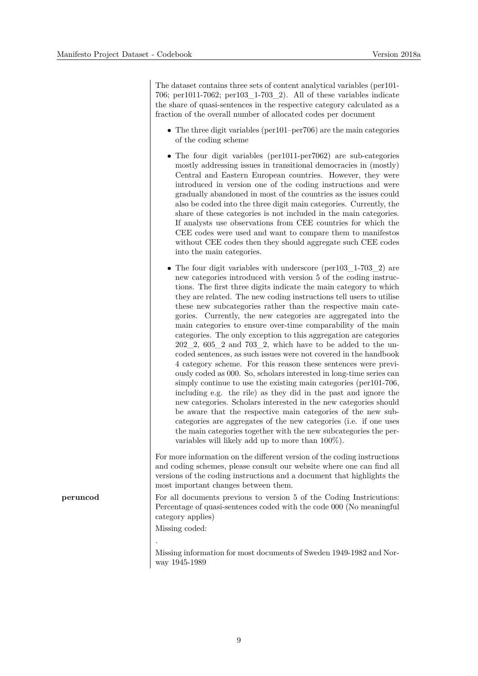The dataset contains three sets of content analytical variables (per101- 706; per1011-7062; per103\_1-703\_2). All of these variables indicate the share of quasi-sentences in the respective category calculated as a fraction of the overall number of allocated codes per document

- The three digit variables (per101–per706) are the main categories of the coding scheme
- The four digit variables (per1011-per7062) are sub-categories mostly addressing issues in transitional democracies in (mostly) Central and Eastern European countries. However, they were introduced in version one of the coding instructions and were gradually abandoned in most of the countries as the issues could also be coded into the three digit main categories. Currently, the share of these categories is not included in the main categories. If analysts use observations from CEE countries for which the CEE codes were used and want to compare them to manifestos without CEE codes then they should aggregate such CEE codes into the main categories.
- The four digit variables with underscore (per103 1-703 2) are new categories introduced with version 5 of the coding instructions. The first three digits indicate the main category to which they are related. The new coding instructions tell users to utilise these new subcategories rather than the respective main categories. Currently, the new categories are aggregated into the main categories to ensure over-time comparability of the main categories. The only exception to this aggregation are categories  $202\,2,\,605\,2$  and  $703\,2,\,$  which have to be added to the uncoded sentences, as such issues were not covered in the handbook 4 category scheme. For this reason these sentences were previously coded as 000. So, scholars interested in long-time series can simply continue to use the existing main categories (per 101-706, including e.g. the rile) as they did in the past and ignore the new categories. Scholars interested in the new categories should be aware that the respective main categories of the new subcategories are aggregates of the new categories (i.e. if one uses the main categories together with the new subcategories the pervariables will likely add up to more than 100%).

For more information on the different version of the coding instructions and coding schemes, please consult our website where one can find all versions of the coding instructions and a document that highlights the most important changes between them.

**peruncod** For all documents previous to version 5 of the Coding Instricutions: Percentage of quasi-sentences coded with the code 000 (No meaningful category applies)

Missing coded:

Missing information for most documents of Sweden 1949-1982 and Norway 1945-1989

. Missing data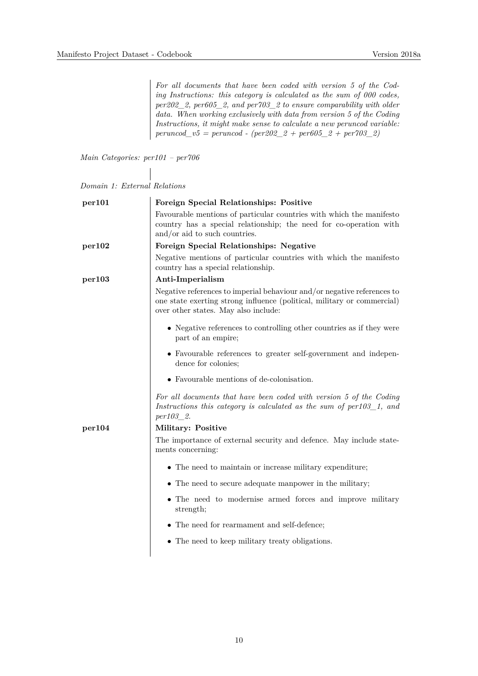*For all documents that have been coded with version 5 of the Coding Instructions: this category is calculated as the sum of 000 codes, per202\_2, per605\_2, and per703\_2 to ensure comparability with older data. When working exclusively with data from version 5 of the Coding Instructions, it might make sense to calculate a new peruncod variable: peruncod\_v5 = peruncod - (per202\_2 + per605\_2 + per703\_2)* 

*Main Categories: per101 – per706*

| Domain 1: External Relations |  |  |
|------------------------------|--|--|
|------------------------------|--|--|

| per101 | Foreign Special Relationships: Positive                                                                                                                                                    |
|--------|--------------------------------------------------------------------------------------------------------------------------------------------------------------------------------------------|
|        | Favourable mentions of particular countries with which the manifesto<br>country has a special relationship; the need for co-operation with<br>and/or aid to such countries.                |
| per102 | Foreign Special Relationships: Negative                                                                                                                                                    |
|        | Negative mentions of particular countries with which the manifesto<br>country has a special relationship.                                                                                  |
| per103 | Anti-Imperialism                                                                                                                                                                           |
|        | Negative references to imperial behaviour and/or negative references to<br>one state exerting strong influence (political, military or commercial)<br>over other states. May also include: |
|        | • Negative references to controlling other countries as if they were<br>part of an empire;                                                                                                 |
|        | • Favourable references to greater self-government and indepen-<br>dence for colonies;                                                                                                     |
|        | • Favourable mentions of de-colonisation.                                                                                                                                                  |
|        | For all documents that have been coded with version 5 of the Coding<br>Instructions this category is calculated as the sum of $per103\_1$ , and<br><i>per103</i> 2.                        |
| per104 | Military: Positive                                                                                                                                                                         |
|        | The importance of external security and defence. May include state-<br>ments concerning:                                                                                                   |
|        | • The need to maintain or increase military expenditure;                                                                                                                                   |
|        | • The need to secure adequate manpower in the military;                                                                                                                                    |
|        | • The need to modernise armed forces and improve military<br>strength;                                                                                                                     |
|        | • The need for rearmament and self-defence;                                                                                                                                                |
|        | • The need to keep military treaty obligations.                                                                                                                                            |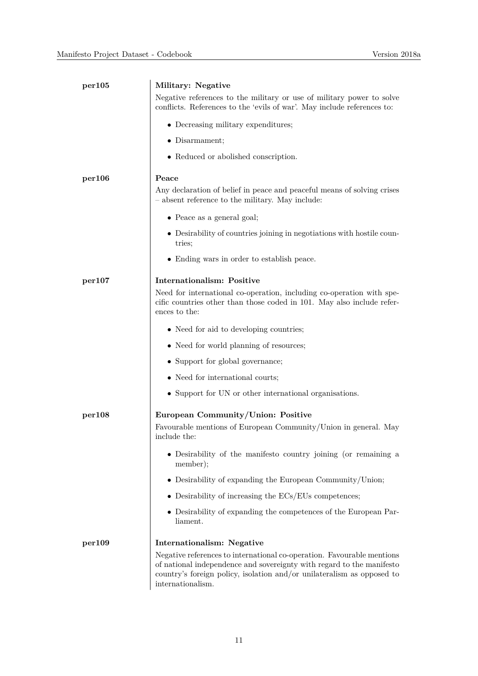| per105 | Military: Negative                                                                                                                                                                                                                             |
|--------|------------------------------------------------------------------------------------------------------------------------------------------------------------------------------------------------------------------------------------------------|
|        | Negative references to the military or use of military power to solve<br>conflicts. References to the 'evils of war'. May include references to:                                                                                               |
|        | • Decreasing military expenditures;                                                                                                                                                                                                            |
|        | • Disarmament;                                                                                                                                                                                                                                 |
|        | • Reduced or abolished conscription.                                                                                                                                                                                                           |
| per106 | Peace<br>Any declaration of belief in peace and peaceful means of solving crises<br>- absent reference to the military. May include:                                                                                                           |
|        | $\bullet$ Peace as a general goal;                                                                                                                                                                                                             |
|        | • Desirability of countries joining in negotiations with hostile coun-<br>tries;                                                                                                                                                               |
|        | • Ending wars in order to establish peace.                                                                                                                                                                                                     |
| per107 | <b>Internationalism: Positive</b>                                                                                                                                                                                                              |
|        | Need for international co-operation, including co-operation with spe-<br>cific countries other than those coded in 101. May also include refer-<br>ences to the:                                                                               |
|        | • Need for aid to developing countries;                                                                                                                                                                                                        |
|        | • Need for world planning of resources;                                                                                                                                                                                                        |
|        | • Support for global governance;                                                                                                                                                                                                               |
|        | • Need for international courts;                                                                                                                                                                                                               |
|        | • Support for UN or other international organisations.                                                                                                                                                                                         |
| per108 | European Community/Union: Positive<br>Favourable mentions of European Community/Union in general. May<br>include the:                                                                                                                          |
|        | • Desirability of the manifesto country joining (or remaining a<br>member);                                                                                                                                                                    |
|        | $\bullet$ Desirability of expanding the European Community/Union;                                                                                                                                                                              |
|        | $\bullet$ Desirability of increasing the ECs/EUs competences;                                                                                                                                                                                  |
|        | • Desirability of expanding the competences of the European Par-<br>liament.                                                                                                                                                                   |
| per109 | Internationalism: Negative                                                                                                                                                                                                                     |
|        | Negative references to international co-operation. Favourable mentions<br>of national independence and sovereignty with regard to the manifesto<br>country's foreign policy, isolation and/or unilateralism as opposed to<br>internationalism. |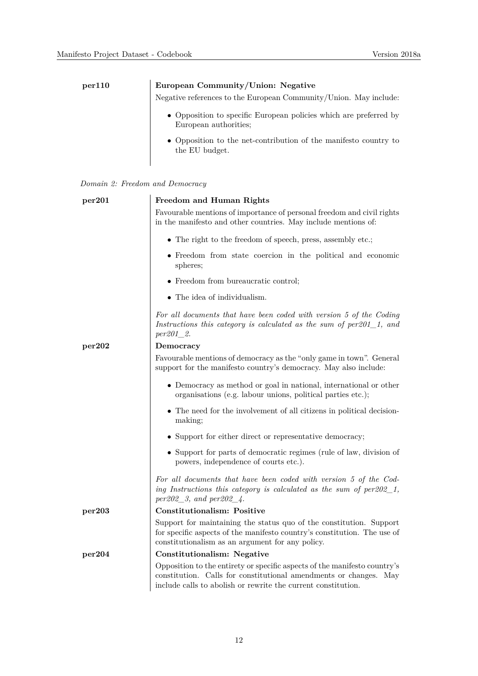| per110 | European Community/Union: Negative                                                         |  |  |
|--------|--------------------------------------------------------------------------------------------|--|--|
|        | Negative references to the European Community/Union. May include:                          |  |  |
|        | • Opposition to specific European policies which are preferred by<br>European authorities: |  |  |
|        | • Opposition to the net-contribution of the manifesto country to<br>the EU budget.         |  |  |

|  |  |  |  | Domain 2: Freedom and Democracy |
|--|--|--|--|---------------------------------|
|--|--|--|--|---------------------------------|

| per201 | Freedom and Human Rights                                                                                                                                                                                           |
|--------|--------------------------------------------------------------------------------------------------------------------------------------------------------------------------------------------------------------------|
|        | Favourable mentions of importance of personal freedom and civil rights<br>in the manifesto and other countries. May include mentions of:                                                                           |
|        | $\bullet\,$ The right to the freedom of speech, press, assembly etc.;                                                                                                                                              |
|        | • Freedom from state coercion in the political and economic<br>spheres;                                                                                                                                            |
|        | $\bullet\,$ Freedom from bureaucratic control;                                                                                                                                                                     |
|        | $\bullet~$ The idea of individualism.                                                                                                                                                                              |
|        | For all documents that have been coded with version 5 of the Coding<br>Instructions this category is calculated as the sum of $per201_1$ , and<br>$per201_2.$                                                      |
| per202 | Democracy                                                                                                                                                                                                          |
|        | Favourable mentions of democracy as the "only game in town". General<br>support for the manifesto country's democracy. May also include:                                                                           |
|        | • Democracy as method or goal in national, international or other<br>organisations (e.g. labour unions, political parties etc.);                                                                                   |
|        | • The need for the involvement of all citizens in political decision-<br>making;                                                                                                                                   |
|        | • Support for either direct or representative democracy;                                                                                                                                                           |
|        | • Support for parts of democratic regimes (rule of law, division of<br>powers, independence of courts etc.).                                                                                                       |
|        | For all documents that have been coded with version 5 of the Cod-<br>ing Instructions this category is calculated as the sum of $per202\_1$ ,<br>$per202\_3$ , and $per202\_4$ .                                   |
| per203 | <b>Constitutionalism: Positive</b>                                                                                                                                                                                 |
|        | Support for maintaining the status quo of the constitution. Support<br>for specific aspects of the manifesto country's constitution. The use of<br>constitutionalism as an argument for any policy.                |
| per204 | <b>Constitutionalism: Negative</b>                                                                                                                                                                                 |
|        | Opposition to the entirety or specific aspects of the manifesto country's<br>constitution. Calls for constitutional amendments or changes.<br>May<br>include calls to abolish or rewrite the current constitution. |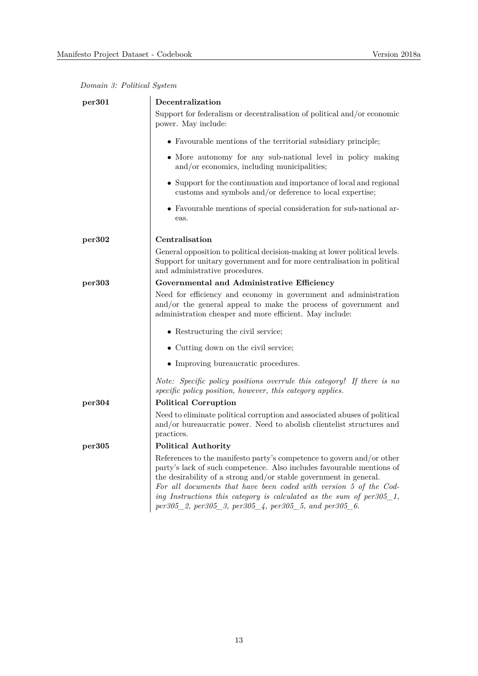| per301 | Decentralization                                                                                                                                                                                                                                                                                                                                                                                                              |
|--------|-------------------------------------------------------------------------------------------------------------------------------------------------------------------------------------------------------------------------------------------------------------------------------------------------------------------------------------------------------------------------------------------------------------------------------|
|        | Support for federalism or decentralisation of political and/or economic<br>power. May include:                                                                                                                                                                                                                                                                                                                                |
|        | • Favourable mentions of the territorial subsidiary principle;                                                                                                                                                                                                                                                                                                                                                                |
|        | • More autonomy for any sub-national level in policy making<br>and/or economics, including municipalities;                                                                                                                                                                                                                                                                                                                    |
|        | • Support for the continuation and importance of local and regional<br>customs and symbols and/or deference to local expertise;                                                                                                                                                                                                                                                                                               |
|        | • Favourable mentions of special consideration for sub-national ar-<br>eas.                                                                                                                                                                                                                                                                                                                                                   |
| per302 | Centralisation                                                                                                                                                                                                                                                                                                                                                                                                                |
|        | General opposition to political decision-making at lower political levels.<br>Support for unitary government and for more centralisation in political<br>and administrative procedures.                                                                                                                                                                                                                                       |
| per303 | Governmental and Administrative Efficiency                                                                                                                                                                                                                                                                                                                                                                                    |
|        | Need for efficiency and economy in government and administration<br>and/or the general appeal to make the process of government and<br>administration cheaper and more efficient. May include:                                                                                                                                                                                                                                |
|        | • Restructuring the civil service;                                                                                                                                                                                                                                                                                                                                                                                            |
|        | • Cutting down on the civil service;                                                                                                                                                                                                                                                                                                                                                                                          |
|        | • Improving bureaucratic procedures.                                                                                                                                                                                                                                                                                                                                                                                          |
|        | Note: Specific policy positions overrule this category! If there is no<br>specific policy position, however, this category applies.                                                                                                                                                                                                                                                                                           |
| per304 | <b>Political Corruption</b>                                                                                                                                                                                                                                                                                                                                                                                                   |
|        | Need to eliminate political corruption and associated abuses of political<br>and/or bureaucratic power. Need to abolish clientelist structures and<br>practices.                                                                                                                                                                                                                                                              |
| per305 | <b>Political Authority</b>                                                                                                                                                                                                                                                                                                                                                                                                    |
|        | References to the manifesto party's competence to govern and/or other<br>party's lack of such competence. Also includes favourable mentions of<br>the desirability of a strong and/or stable government in general.<br>For all documents that have been coded with version 5 of the Cod-<br>ing Instructions this category is calculated as the sum of $per305\_1$ ,<br>per305_2, per305_3, per305_4, per305_5, and per305_6. |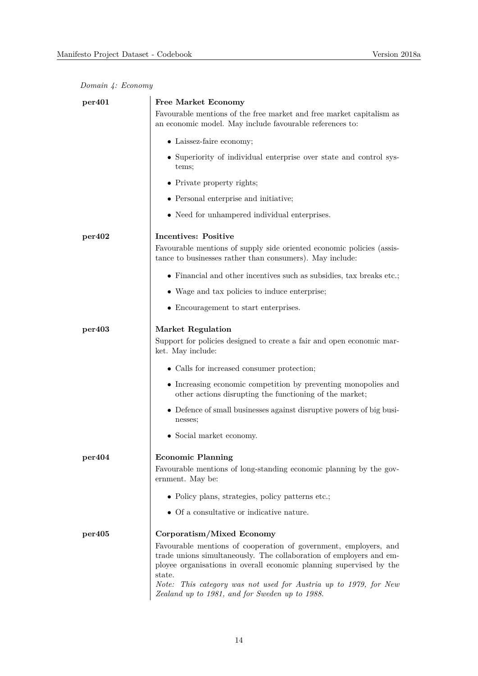|  |  | Domain 4: Economy |
|--|--|-------------------|
|--|--|-------------------|

| per401 | <b>Free Market Economy</b>                                                                                                                                                                                               |
|--------|--------------------------------------------------------------------------------------------------------------------------------------------------------------------------------------------------------------------------|
|        | Favourable mentions of the free market and free market capitalism as<br>an economic model. May include favourable references to:                                                                                         |
|        | • Laissez-faire economy;                                                                                                                                                                                                 |
|        | • Superiority of individual enterprise over state and control sys-<br>tems;                                                                                                                                              |
|        | • Private property rights;                                                                                                                                                                                               |
|        | • Personal enterprise and initiative;                                                                                                                                                                                    |
|        | • Need for unhampered individual enterprises.                                                                                                                                                                            |
| per402 | <b>Incentives: Positive</b>                                                                                                                                                                                              |
|        | Favourable mentions of supply side oriented economic policies (assis-<br>tance to businesses rather than consumers). May include:                                                                                        |
|        | $\bullet$ Financial and other incentives such as subsidies, tax breaks etc.;                                                                                                                                             |
|        | • Wage and tax policies to induce enterprise;                                                                                                                                                                            |
|        | • Encouragement to start enterprises.                                                                                                                                                                                    |
| per403 | <b>Market Regulation</b><br>Support for policies designed to create a fair and open economic mar-<br>ket. May include:                                                                                                   |
|        | • Calls for increased consumer protection;                                                                                                                                                                               |
|        | • Increasing economic competition by preventing monopolies and<br>other actions disrupting the functioning of the market;                                                                                                |
|        | • Defence of small businesses against disruptive powers of big busi-<br>nesses;                                                                                                                                          |
|        | • Social market economy.                                                                                                                                                                                                 |
| per404 | <b>Economic Planning</b><br>Favourable mentions of long-standing economic planning by the gov-<br>ernment. May be:<br>• Policy plans, strategies, policy patterns etc.;                                                  |
|        | • Of a consultative or indicative nature.                                                                                                                                                                                |
| per405 | Corporatism/Mixed Economy                                                                                                                                                                                                |
|        | Favourable mentions of cooperation of government, employers, and<br>trade unions simultaneously. The collaboration of employers and em-<br>ployee organisations in overall economic planning supervised by the<br>state. |
|        | Note: This category was not used for Austria up to 1979, for New<br>Zealand up to 1981, and for Sweden up to 1988.                                                                                                       |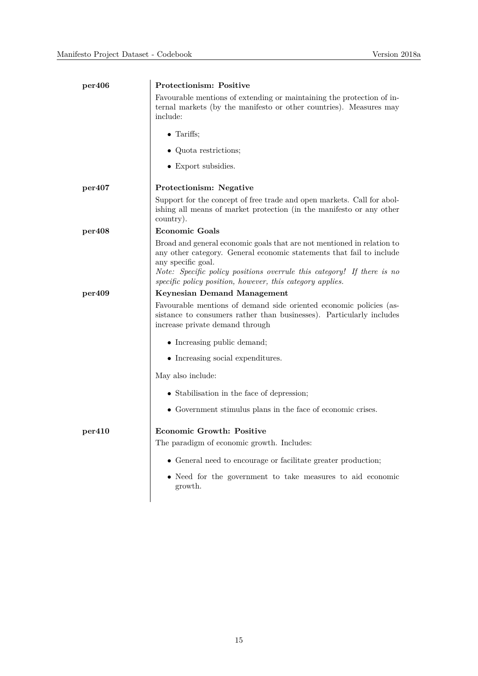| per406 | Protectionism: Positive                                                                                                                                                                                                                                                                                     |
|--------|-------------------------------------------------------------------------------------------------------------------------------------------------------------------------------------------------------------------------------------------------------------------------------------------------------------|
|        | Favourable mentions of extending or maintaining the protection of in-<br>ternal markets (by the manifesto or other countries). Measures may<br>include:                                                                                                                                                     |
|        | $\bullet$ Tariffs;                                                                                                                                                                                                                                                                                          |
|        | • Quota restrictions;                                                                                                                                                                                                                                                                                       |
|        | • Export subsidies.                                                                                                                                                                                                                                                                                         |
| per407 | Protectionism: Negative                                                                                                                                                                                                                                                                                     |
|        | Support for the concept of free trade and open markets. Call for abol-<br>ishing all means of market protection (in the manifesto or any other<br>country).                                                                                                                                                 |
| per408 | <b>Economic Goals</b>                                                                                                                                                                                                                                                                                       |
|        | Broad and general economic goals that are not mentioned in relation to<br>any other category. General economic statements that fail to include<br>any specific goal.<br>Note: Specific policy positions overrule this category! If there is no<br>specific policy position, however, this category applies. |
| per409 | Keynesian Demand Management                                                                                                                                                                                                                                                                                 |
|        | Favourable mentions of demand side oriented economic policies (as-<br>sistance to consumers rather than businesses). Particularly includes<br>increase private demand through                                                                                                                               |
|        | • Increasing public demand;                                                                                                                                                                                                                                                                                 |
|        | • Increasing social expenditures.                                                                                                                                                                                                                                                                           |
|        | May also include:                                                                                                                                                                                                                                                                                           |
|        | • Stabilisation in the face of depression;                                                                                                                                                                                                                                                                  |
|        | • Government stimulus plans in the face of economic crises.                                                                                                                                                                                                                                                 |
| per410 | <b>Economic Growth: Positive</b>                                                                                                                                                                                                                                                                            |
|        | The paradigm of economic growth. Includes:                                                                                                                                                                                                                                                                  |
|        | • General need to encourage or facilitate greater production;                                                                                                                                                                                                                                               |
|        | • Need for the government to take measures to aid economic<br>growth.                                                                                                                                                                                                                                       |
|        |                                                                                                                                                                                                                                                                                                             |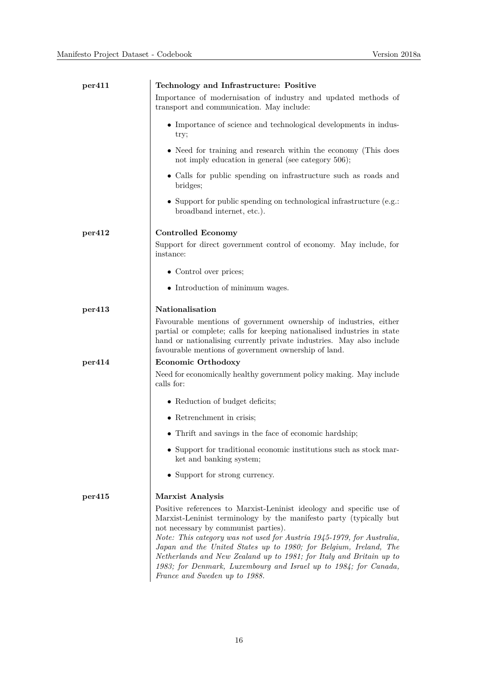| per411 | Technology and Infrastructure: Positive                                                                                                                                                                                                                                                                                                                                                                                                                                                                       |
|--------|---------------------------------------------------------------------------------------------------------------------------------------------------------------------------------------------------------------------------------------------------------------------------------------------------------------------------------------------------------------------------------------------------------------------------------------------------------------------------------------------------------------|
|        | Importance of modernisation of industry and updated methods of<br>transport and communication. May include:                                                                                                                                                                                                                                                                                                                                                                                                   |
|        | • Importance of science and technological developments in indus-<br>try;                                                                                                                                                                                                                                                                                                                                                                                                                                      |
|        | • Need for training and research within the economy (This does<br>not imply education in general (see category 506);                                                                                                                                                                                                                                                                                                                                                                                          |
|        | • Calls for public spending on infrastructure such as roads and<br>bridges;                                                                                                                                                                                                                                                                                                                                                                                                                                   |
|        | • Support for public spending on technological infrastructure (e.g.:<br>broadband internet, etc.).                                                                                                                                                                                                                                                                                                                                                                                                            |
| per412 | <b>Controlled Economy</b>                                                                                                                                                                                                                                                                                                                                                                                                                                                                                     |
|        | Support for direct government control of economy. May include, for<br>instance:                                                                                                                                                                                                                                                                                                                                                                                                                               |
|        | • Control over prices;                                                                                                                                                                                                                                                                                                                                                                                                                                                                                        |
|        | • Introduction of minimum wages.                                                                                                                                                                                                                                                                                                                                                                                                                                                                              |
| per413 | Nationalisation                                                                                                                                                                                                                                                                                                                                                                                                                                                                                               |
|        | Favourable mentions of government ownership of industries, either<br>partial or complete; calls for keeping nationalised industries in state<br>hand or nationalising currently private industries. May also include<br>favourable mentions of government ownership of land.                                                                                                                                                                                                                                  |
| per414 | Economic Orthodoxy                                                                                                                                                                                                                                                                                                                                                                                                                                                                                            |
|        | Need for economically healthy government policy making. May include<br>calls for:                                                                                                                                                                                                                                                                                                                                                                                                                             |
|        | • Reduction of budget deficits;                                                                                                                                                                                                                                                                                                                                                                                                                                                                               |
|        | • Retrenchment in crisis;                                                                                                                                                                                                                                                                                                                                                                                                                                                                                     |
|        | • Thrift and savings in the face of economic hardship;                                                                                                                                                                                                                                                                                                                                                                                                                                                        |
|        | • Support for traditional economic institutions such as stock mar-<br>ket and banking system;                                                                                                                                                                                                                                                                                                                                                                                                                 |
|        | • Support for strong currency.                                                                                                                                                                                                                                                                                                                                                                                                                                                                                |
| per415 | <b>Marxist Analysis</b>                                                                                                                                                                                                                                                                                                                                                                                                                                                                                       |
|        | Positive references to Marxist-Leninist ideology and specific use of<br>Marxist-Leninist terminology by the manifesto party (typically but<br>not necessary by communist parties).<br>Note: This category was not used for Austria 1945-1979, for Australia,<br>Japan and the United States up to 1980; for Belgium, Ireland, The<br>Netherlands and New Zealand up to 1981; for Italy and Britain up to<br>1983; for Denmark, Luxembourg and Israel up to 1984; for Canada,<br>France and Sweden up to 1988. |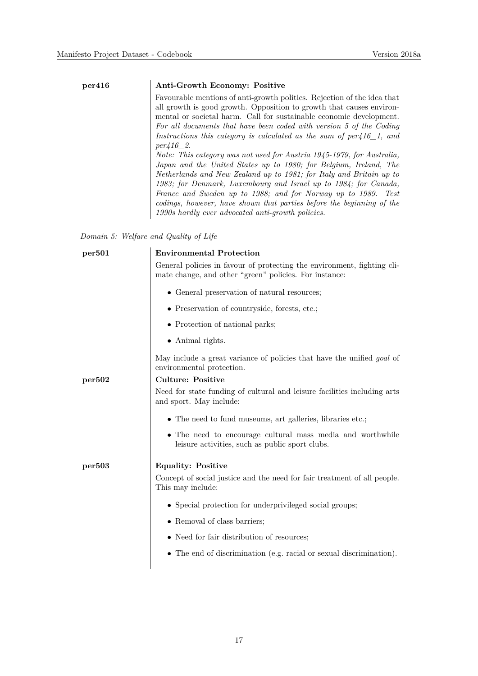#### **per416 Anti-Growth Economy: Positive**

Favourable mentions of anti-growth politics. Rejection of the idea that all growth is good growth. Opposition to growth that causes environmental or societal harm. Call for sustainable economic development. *For all documents that have been coded with version 5 of the Coding Instructions this category is calculated as the sum of per416\_1, and per416\_2.*

*Note: This category was not used for Austria 1945-1979, for Australia, Japan and the United States up to 1980; for Belgium, Ireland, The Netherlands and New Zealand up to 1981; for Italy and Britain up to 1983; for Denmark, Luxembourg and Israel up to 1984; for Canada, France and Sweden up to 1988; and for Norway up to 1989. Test codings, however, have shown that parties before the beginning of the 1990s hardly ever advocated anti-growth policies.*

*Domain 5: Welfare and Quality of Life*

| <b>Environmental Protection</b>                                                                                                   |
|-----------------------------------------------------------------------------------------------------------------------------------|
| General policies in favour of protecting the environment, fighting cli-<br>mate change, and other "green" policies. For instance: |
| • General preservation of natural resources;                                                                                      |
| • Preservation of countryside, forests, etc.;                                                                                     |
| • Protection of national parks;                                                                                                   |
| $\bullet$ Animal rights.                                                                                                          |
| May include a great variance of policies that have the unified <i>goal</i> of<br>environmental protection.                        |
| <b>Culture: Positive</b>                                                                                                          |
| Need for state funding of cultural and leisure facilities including arts<br>and sport. May include:                               |
| • The need to fund museums, art galleries, libraries etc.;                                                                        |
| • The need to encourage cultural mass media and worthwhile<br>leisure activities, such as public sport clubs.                     |
| <b>Equality: Positive</b>                                                                                                         |
| Concept of social justice and the need for fair treatment of all people.<br>This may include:                                     |
| • Special protection for underprivileged social groups;                                                                           |
| • Removal of class barriers;                                                                                                      |
| • Need for fair distribution of resources;                                                                                        |
| $\bullet$ The end of discrimination (e.g. racial or sexual discrimination).                                                       |
|                                                                                                                                   |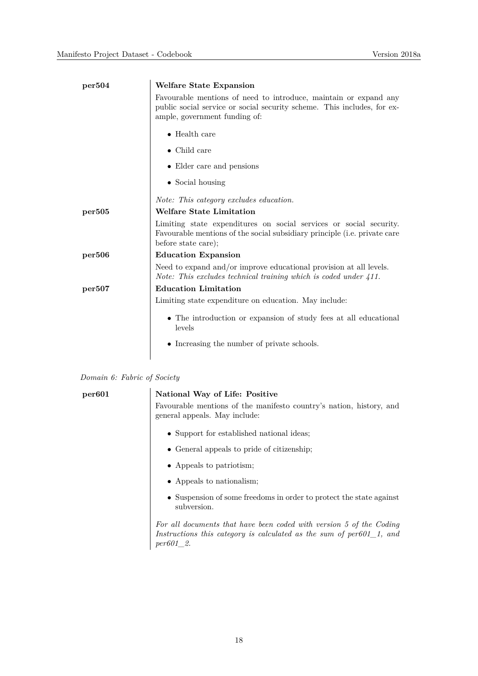| per504 | <b>Welfare State Expansion</b>                                                                                                                                               |  |
|--------|------------------------------------------------------------------------------------------------------------------------------------------------------------------------------|--|
|        | Favourable mentions of need to introduce, maintain or expand any<br>public social service or social security scheme. This includes, for ex-<br>ample, government funding of: |  |
|        | $\bullet$ Health care                                                                                                                                                        |  |
|        | $\bullet$ Child care                                                                                                                                                         |  |
|        | • Elder care and pensions                                                                                                                                                    |  |
|        | $\bullet$ Social housing                                                                                                                                                     |  |
|        | Note: This category excludes education.                                                                                                                                      |  |
| per505 | <b>Welfare State Limitation</b>                                                                                                                                              |  |
|        | Limiting state expenditures on social services or social security.<br>Favourable mentions of the social subsidiary principle (i.e. private care<br>before state care);       |  |
| per506 | <b>Education Expansion</b>                                                                                                                                                   |  |
|        | Need to expand and/or improve educational provision at all levels.<br>Note: This excludes technical training which is coded under $411$ .                                    |  |
| per507 | <b>Education Limitation</b>                                                                                                                                                  |  |
|        | Limiting state expenditure on education. May include:                                                                                                                        |  |
|        | • The introduction or expansion of study fees at all educational<br>levels                                                                                                   |  |
|        | • Increasing the number of private schools.                                                                                                                                  |  |
|        |                                                                                                                                                                              |  |

| Domain 6: Fabric of Society |  |  |  |  |
|-----------------------------|--|--|--|--|
|-----------------------------|--|--|--|--|

| per601 | National Way of Life: Positive                                                                                                                                     |
|--------|--------------------------------------------------------------------------------------------------------------------------------------------------------------------|
|        | Favourable mentions of the manifesto country's nation, history, and<br>general appeals. May include:                                                               |
|        | • Support for established national ideas;                                                                                                                          |
|        | • General appeals to pride of citizenship;                                                                                                                         |
|        | • Appeals to patriotism;                                                                                                                                           |
|        | • Appeals to nationalism;                                                                                                                                          |
|        | • Suspension of some freedoms in order to protect the state against<br>subversion.                                                                                 |
|        | For all documents that have been coded with version 5 of the Coding<br>Instructions this category is calculated as the sum of $per601_1$ , and<br><i>per601</i> 2. |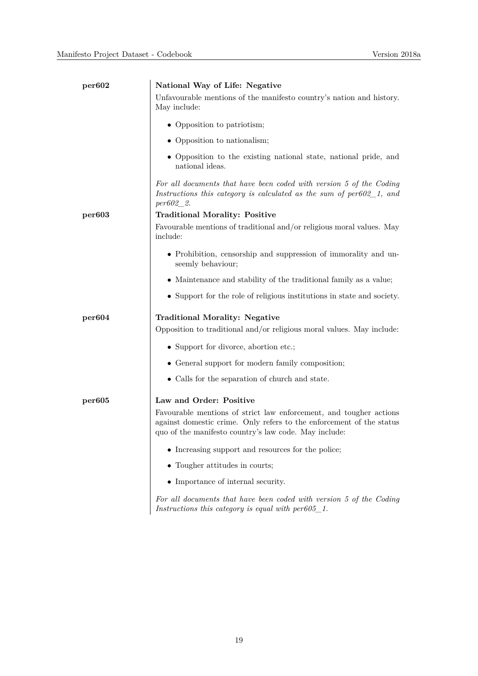| per602 | National Way of Life: Negative                                                                                                                                                                      |
|--------|-----------------------------------------------------------------------------------------------------------------------------------------------------------------------------------------------------|
|        | Unfavourable mentions of the manifesto country's nation and history.<br>May include:                                                                                                                |
|        | • Opposition to patriotism;                                                                                                                                                                         |
|        | • Opposition to nationalism;                                                                                                                                                                        |
|        | • Opposition to the existing national state, national pride, and<br>national ideas.                                                                                                                 |
|        | For all documents that have been coded with version 5 of the Coding<br>Instructions this category is calculated as the sum of $per602\_1$ , and<br>$per602\_2.$                                     |
| per603 | <b>Traditional Morality: Positive</b>                                                                                                                                                               |
|        | Favourable mentions of traditional and/or religious moral values. May<br>include:                                                                                                                   |
|        | • Prohibition, censorship and suppression of immorality and un-<br>seemly behaviour;                                                                                                                |
|        | • Maintenance and stability of the traditional family as a value;                                                                                                                                   |
|        | • Support for the role of religious institutions in state and society.                                                                                                                              |
| per604 | <b>Traditional Morality: Negative</b>                                                                                                                                                               |
|        | Opposition to traditional and/or religious moral values. May include:                                                                                                                               |
|        | • Support for divorce, abortion etc.;                                                                                                                                                               |
|        | • General support for modern family composition;                                                                                                                                                    |
|        | • Calls for the separation of church and state.                                                                                                                                                     |
| per605 | Law and Order: Positive                                                                                                                                                                             |
|        | Favourable mentions of strict law enforcement, and tougher actions<br>against domestic crime. Only refers to the enforcement of the status<br>quo of the manifesto country's law code. May include: |
|        | • Increasing support and resources for the police;                                                                                                                                                  |
|        | • Tougher attitudes in courts;                                                                                                                                                                      |
|        | • Importance of internal security.                                                                                                                                                                  |
|        | For all documents that have been coded with version 5 of the Coding                                                                                                                                 |

*Instructions this category is equal with per605\_1.*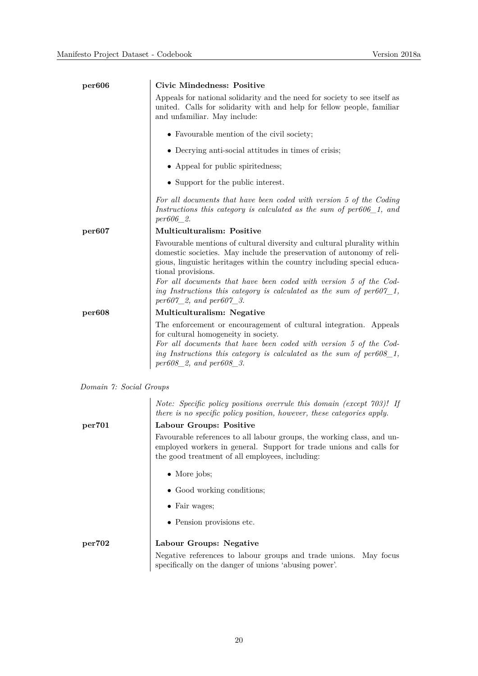| per606                  | <b>Civic Mindedness: Positive</b>                                                                                                                                                                                                                                                                                      |
|-------------------------|------------------------------------------------------------------------------------------------------------------------------------------------------------------------------------------------------------------------------------------------------------------------------------------------------------------------|
|                         | Appeals for national solidarity and the need for society to see itself as<br>united. Calls for solidarity with and help for fellow people, familiar<br>and unfamiliar. May include:                                                                                                                                    |
|                         | • Favourable mention of the civil society;                                                                                                                                                                                                                                                                             |
|                         | • Decrying anti-social attitudes in times of crisis;                                                                                                                                                                                                                                                                   |
|                         | • Appeal for public spiritedness;                                                                                                                                                                                                                                                                                      |
|                         | • Support for the public interest.                                                                                                                                                                                                                                                                                     |
|                         | For all documents that have been coded with version 5 of the Coding<br>Instructions this category is calculated as the sum of $per606\_1$ , and<br>per606 2.                                                                                                                                                           |
| per607                  | <b>Multiculturalism: Positive</b>                                                                                                                                                                                                                                                                                      |
|                         | Favourable mentions of cultural diversity and cultural plurality within<br>domestic societies. May include the preservation of autonomy of reli-<br>gious, linguistic heritages within the country including special educa-<br>tional provisions.<br>For all documents that have been coded with version 5 of the Cod- |
|                         | ing Instructions this category is calculated as the sum of $per607\_1$ ,<br>$per607_2$ , and $per607_3$ .                                                                                                                                                                                                              |
| per608                  | Multiculturalism: Negative                                                                                                                                                                                                                                                                                             |
|                         | The enforcement or encouragement of cultural integration. Appeals<br>for cultural homogeneity in society.<br>For all documents that have been coded with version 5 of the Cod-<br>ing Instructions this category is calculated as the sum of $per608\_1$ ,<br>$per608\_2$ , and $per608\_3$ .                          |
| Domain 7: Social Groups |                                                                                                                                                                                                                                                                                                                        |

*Note: Specific policy positions overrule this domain (except 703)! If there is no specific policy position, however, these categories apply.*

# **per701 Labour Groups: Positive**

Favourable references to all labour groups, the working class, and unemployed workers in general. Support for trade unions and calls for the good treatment of all employees, including:

- More jobs;
- Good working conditions;
- Fair wages;
- Pension provisions etc.

#### **per702 Labour Groups: Negative** Negative references to labour groups and trade unions. May focus specifically on the danger of unions 'abusing power'.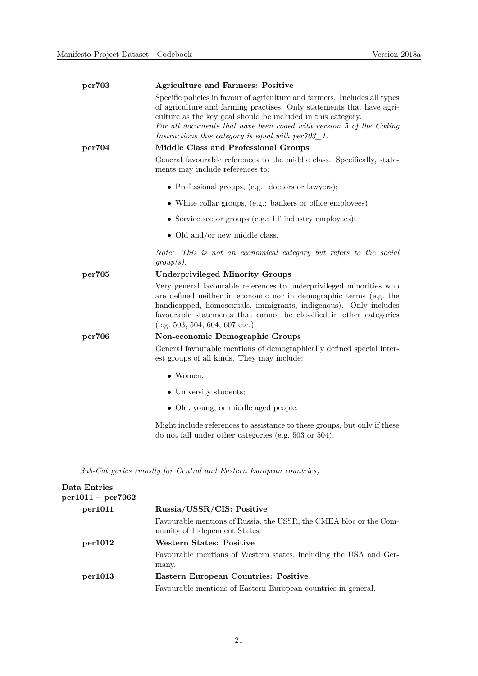| per703 | <b>Agriculture and Farmers: Positive</b>                                                                                                                                                                                                                                                                                                             |
|--------|------------------------------------------------------------------------------------------------------------------------------------------------------------------------------------------------------------------------------------------------------------------------------------------------------------------------------------------------------|
|        | Specific policies in favour of agriculture and farmers. Includes all types<br>of agriculture and farming practises. Only statements that have agri-<br>culture as the key goal should be included in this category.<br>For all documents that have been coded with version 5 of the Coding<br>Instructions this category is equal with $per703\_1$ . |
| per704 | Middle Class and Professional Groups                                                                                                                                                                                                                                                                                                                 |
|        | General favourable references to the middle class. Specifically, state-<br>ments may include references to:                                                                                                                                                                                                                                          |
|        | • Professional groups, (e.g.: doctors or lawyers);                                                                                                                                                                                                                                                                                                   |
|        | • White collar groups, (e.g.: bankers or office employees),                                                                                                                                                                                                                                                                                          |
|        | • Service sector groups (e.g.: IT industry employees);                                                                                                                                                                                                                                                                                               |
|        | • Old and/or new middle class.                                                                                                                                                                                                                                                                                                                       |
|        | Note: This is not an economical category but refers to the social<br>group(s).                                                                                                                                                                                                                                                                       |
| per705 | <b>Underprivileged Minority Groups</b>                                                                                                                                                                                                                                                                                                               |
|        | Very general favourable references to underprivileged minorities who<br>are defined neither in economic nor in demographic terms (e.g. the<br>handicapped, homosexuals, immigrants, indigenous). Only includes<br>favourable statements that cannot be classified in other categories<br>(e.g. 503, 504, 604, 607 etc.)                              |
| per706 | Non-economic Demographic Groups                                                                                                                                                                                                                                                                                                                      |
|        | General favourable mentions of demographically defined special inter-<br>est groups of all kinds. They may include:                                                                                                                                                                                                                                  |
|        | $\bullet$ Women;                                                                                                                                                                                                                                                                                                                                     |
|        | • University students;                                                                                                                                                                                                                                                                                                                               |
|        | • Old, young, or middle aged people.                                                                                                                                                                                                                                                                                                                 |
|        | Might include references to assistance to these groups, but only if these<br>do not fall under other categories (e.g. $503$ or $504$ ).                                                                                                                                                                                                              |
|        |                                                                                                                                                                                                                                                                                                                                                      |

*Sub-Categories (mostly for Central and Eastern European countries)*

| Data Entries<br>$per1011 - per7062$ |                                                                                                     |
|-------------------------------------|-----------------------------------------------------------------------------------------------------|
| per1011                             | Russia/USSR/CIS: Positive                                                                           |
|                                     | Favourable mentions of Russia, the USSR, the CMEA bloc or the Com-<br>munity of Independent States. |
| per1012                             | <b>Western States: Positive</b>                                                                     |
|                                     | Favourable mentions of Western states, including the USA and Ger-<br>many.                          |
| per1013                             | Eastern European Countries: Positive                                                                |
|                                     | Favourable mentions of Eastern European countries in general.                                       |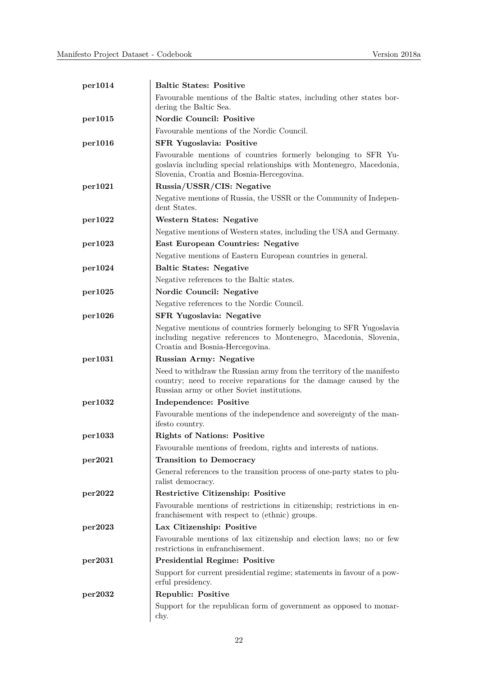| per1014 | <b>Baltic States: Positive</b>                                                                                                                                                           |
|---------|------------------------------------------------------------------------------------------------------------------------------------------------------------------------------------------|
|         | Favourable mentions of the Baltic states, including other states bor-<br>dering the Baltic Sea.                                                                                          |
| per1015 | <b>Nordic Council: Positive</b>                                                                                                                                                          |
|         | Favourable mentions of the Nordic Council.                                                                                                                                               |
| per1016 | <b>SFR Yugoslavia: Positive</b>                                                                                                                                                          |
|         | Favourable mentions of countries formerly belonging to SFR Yu-<br>goslavia including special relationships with Montenegro, Macedonia,<br>Slovenia, Croatia and Bosnia-Hercegovina.      |
| per1021 | Russia/USSR/CIS: Negative                                                                                                                                                                |
|         | Negative mentions of Russia, the USSR or the Community of Indepen-<br>dent States.                                                                                                       |
| per1022 | <b>Western States: Negative</b>                                                                                                                                                          |
|         | Negative mentions of Western states, including the USA and Germany.                                                                                                                      |
| per1023 | <b>East European Countries: Negative</b>                                                                                                                                                 |
|         | Negative mentions of Eastern European countries in general.                                                                                                                              |
| per1024 | <b>Baltic States: Negative</b>                                                                                                                                                           |
|         | Negative references to the Baltic states.                                                                                                                                                |
| per1025 | Nordic Council: Negative                                                                                                                                                                 |
|         | Negative references to the Nordic Council.                                                                                                                                               |
| per1026 | <b>SFR Yugoslavia: Negative</b>                                                                                                                                                          |
|         | Negative mentions of countries formerly belonging to SFR Yugoslavia<br>including negative references to Montenegro, Macedonia, Slovenia,<br>Croatia and Bosnia-Hercegovina.              |
| per1031 | <b>Russian Army: Negative</b>                                                                                                                                                            |
|         | Need to withdraw the Russian army from the territory of the manifesto<br>country; need to receive reparations for the damage caused by the<br>Russian army or other Soviet institutions. |
| per1032 | <b>Independence: Positive</b>                                                                                                                                                            |
|         | Favourable mentions of the independence and sovereignty of the man-<br>ifesto country.                                                                                                   |
| per1033 | <b>Rights of Nations: Positive</b>                                                                                                                                                       |
|         | Favourable mentions of freedom, rights and interests of nations.                                                                                                                         |
| per2021 | <b>Transition to Democracy</b>                                                                                                                                                           |
|         | General references to the transition process of one-party states to plu-<br>ralist democracy.                                                                                            |
| per2022 | Restrictive Citizenship: Positive                                                                                                                                                        |
|         | Favourable mentions of restrictions in citizenship; restrictions in en-<br>franchisement with respect to (ethnic) groups.                                                                |
| per2023 | Lax Citizenship: Positive                                                                                                                                                                |
|         | Favourable mentions of lax citizenship and election laws; no or few<br>restrictions in enfranchisement.                                                                                  |
| per2031 | <b>Presidential Regime: Positive</b>                                                                                                                                                     |
|         | Support for current presidential regime; statements in favour of a pow-<br>erful presidency.                                                                                             |
| per2032 | <b>Republic: Positive</b>                                                                                                                                                                |
|         | Support for the republican form of government as opposed to monar-<br>chy.                                                                                                               |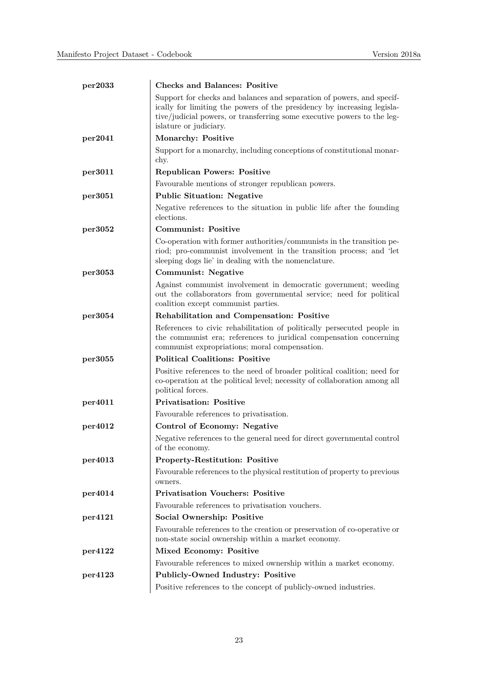| per2033 | <b>Checks and Balances: Positive</b>                                                                                                                                                                                                                  |
|---------|-------------------------------------------------------------------------------------------------------------------------------------------------------------------------------------------------------------------------------------------------------|
|         | Support for checks and balances and separation of powers, and specif-<br>ically for limiting the powers of the presidency by increasing legisla-<br>tive/judicial powers, or transferring some executive powers to the leg-<br>islature or judiciary. |
| per2041 | Monarchy: Positive                                                                                                                                                                                                                                    |
|         | Support for a monarchy, including conceptions of constitutional monar-<br>chy.                                                                                                                                                                        |
| per3011 | <b>Republican Powers: Positive</b>                                                                                                                                                                                                                    |
|         | Favourable mentions of stronger republican powers.                                                                                                                                                                                                    |
| per3051 | <b>Public Situation: Negative</b>                                                                                                                                                                                                                     |
|         | Negative references to the situation in public life after the founding<br>elections.                                                                                                                                                                  |
| per3052 | <b>Communist: Positive</b>                                                                                                                                                                                                                            |
|         | Co-operation with former authorities/communists in the transition pe-<br>riod; pro-communist involvement in the transition process; and 'let<br>sleeping dogs lie' in dealing with the nomenclature.                                                  |
| per3053 | <b>Communist: Negative</b>                                                                                                                                                                                                                            |
|         | Against communist involvement in democratic government; weeding<br>out the collaborators from governmental service; need for political<br>coalition except communist parties.                                                                         |
| per3054 | <b>Rehabilitation and Compensation: Positive</b>                                                                                                                                                                                                      |
|         | References to civic rehabilitation of politically persecuted people in<br>the communist era; references to juridical compensation concerning<br>communist expropriations; moral compensation.                                                         |
| per3055 | <b>Political Coalitions: Positive</b>                                                                                                                                                                                                                 |
|         | Positive references to the need of broader political coalition; need for<br>co-operation at the political level; necessity of collaboration among all<br>political forces.                                                                            |
| per4011 | <b>Privatisation: Positive</b>                                                                                                                                                                                                                        |
|         | Favourable references to privatisation.                                                                                                                                                                                                               |
| per4012 | Control of Economy: Negative                                                                                                                                                                                                                          |
|         | Negative references to the general need for direct governmental control<br>of the economy.                                                                                                                                                            |
| per4013 | Property-Restitution: Positive                                                                                                                                                                                                                        |
|         | Favourable references to the physical restitution of property to previous<br>owners.                                                                                                                                                                  |
| per4014 | <b>Privatisation Vouchers: Positive</b>                                                                                                                                                                                                               |
|         | Favourable references to privatisation vouchers.                                                                                                                                                                                                      |
| per4121 | Social Ownership: Positive                                                                                                                                                                                                                            |
|         | Favourable references to the creation or preservation of co-operative or<br>non-state social ownership within a market economy.                                                                                                                       |
| per4122 | Mixed Economy: Positive                                                                                                                                                                                                                               |
|         | Favourable references to mixed ownership within a market economy.                                                                                                                                                                                     |
| per4123 | Publicly-Owned Industry: Positive                                                                                                                                                                                                                     |
|         | Positive references to the concept of publicly-owned industries.                                                                                                                                                                                      |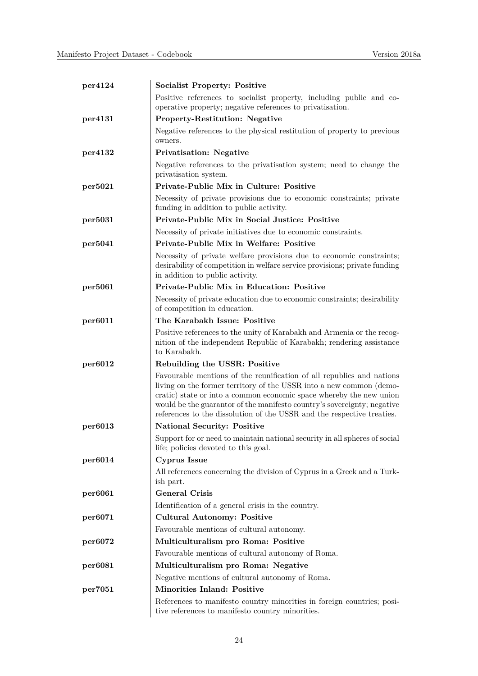| per4124 | <b>Socialist Property: Positive</b>                                                                                                                                                                                                                                                                                                                                      |
|---------|--------------------------------------------------------------------------------------------------------------------------------------------------------------------------------------------------------------------------------------------------------------------------------------------------------------------------------------------------------------------------|
|         | Positive references to socialist property, including public and co-                                                                                                                                                                                                                                                                                                      |
|         | operative property; negative references to privatisation.                                                                                                                                                                                                                                                                                                                |
| per4131 | <b>Property-Restitution: Negative</b>                                                                                                                                                                                                                                                                                                                                    |
|         | Negative references to the physical restitution of property to previous<br>owners.                                                                                                                                                                                                                                                                                       |
| per4132 | <b>Privatisation: Negative</b>                                                                                                                                                                                                                                                                                                                                           |
|         | Negative references to the privatisation system; need to change the<br>privatisation system.                                                                                                                                                                                                                                                                             |
| per5021 | Private-Public Mix in Culture: Positive                                                                                                                                                                                                                                                                                                                                  |
|         | Necessity of private provisions due to economic constraints; private<br>funding in addition to public activity.                                                                                                                                                                                                                                                          |
| per5031 | Private-Public Mix in Social Justice: Positive                                                                                                                                                                                                                                                                                                                           |
|         | Necessity of private initiatives due to economic constraints.                                                                                                                                                                                                                                                                                                            |
| per5041 | Private-Public Mix in Welfare: Positive                                                                                                                                                                                                                                                                                                                                  |
|         | Necessity of private welfare provisions due to economic constraints;<br>desirability of competition in welfare service provisions; private funding<br>in addition to public activity.                                                                                                                                                                                    |
| per5061 | <b>Private-Public Mix in Education: Positive</b>                                                                                                                                                                                                                                                                                                                         |
|         | Necessity of private education due to economic constraints; desirability<br>of competition in education.                                                                                                                                                                                                                                                                 |
| per6011 | The Karabakh Issue: Positive                                                                                                                                                                                                                                                                                                                                             |
|         | Positive references to the unity of Karabakh and Armenia or the recog-<br>nition of the independent Republic of Karabakh; rendering assistance<br>to Karabakh.                                                                                                                                                                                                           |
| per6012 | Rebuilding the USSR: Positive                                                                                                                                                                                                                                                                                                                                            |
|         | Favourable mentions of the reunification of all republics and nations<br>living on the former territory of the USSR into a new common (demo-<br>cratic) state or into a common economic space whereby the new union<br>would be the guarantor of the manifesto country's sovereignty; negative<br>references to the dissolution of the USSR and the respective treaties. |
| per6013 | <b>National Security: Positive</b>                                                                                                                                                                                                                                                                                                                                       |
|         | Support for or need to maintain national security in all spheres of social<br>life; policies devoted to this goal.                                                                                                                                                                                                                                                       |
| per6014 | Cyprus Issue                                                                                                                                                                                                                                                                                                                                                             |
|         | All references concerning the division of Cyprus in a Greek and a Turk-<br>ish part.                                                                                                                                                                                                                                                                                     |
| per6061 | <b>General Crisis</b>                                                                                                                                                                                                                                                                                                                                                    |
|         | Identification of a general crisis in the country.                                                                                                                                                                                                                                                                                                                       |
| per6071 | <b>Cultural Autonomy: Positive</b>                                                                                                                                                                                                                                                                                                                                       |
|         | Favourable mentions of cultural autonomy.                                                                                                                                                                                                                                                                                                                                |
| per6072 | Multiculturalism pro Roma: Positive                                                                                                                                                                                                                                                                                                                                      |
|         | Favourable mentions of cultural autonomy of Roma.                                                                                                                                                                                                                                                                                                                        |
| per6081 | Multiculturalism pro Roma: Negative                                                                                                                                                                                                                                                                                                                                      |
|         | Negative mentions of cultural autonomy of Roma.                                                                                                                                                                                                                                                                                                                          |
| per7051 | <b>Minorities Inland: Positive</b>                                                                                                                                                                                                                                                                                                                                       |
|         | References to manifesto country minorities in foreign countries; posi-<br>tive references to manifesto country minorities.                                                                                                                                                                                                                                               |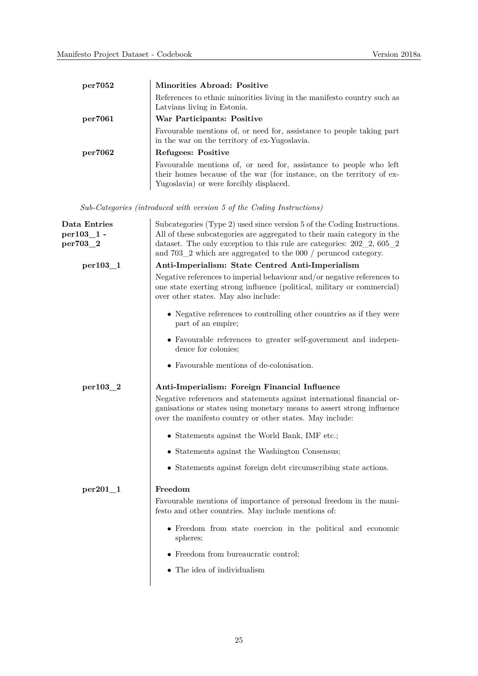| per7052 | Minorities Abroad: Positive                                                                                                                                                            |
|---------|----------------------------------------------------------------------------------------------------------------------------------------------------------------------------------------|
|         | References to ethnic minorities living in the manifesto country such as<br>Latvians living in Estonia.                                                                                 |
| per7061 | War Participants: Positive                                                                                                                                                             |
|         | Favourable mentions of, or need for, assistance to people taking part<br>in the war on the territory of ex-Yugoslavia.                                                                 |
| per7062 | Refugees: Positive                                                                                                                                                                     |
|         | Favourable mentions of, or need for, assistance to people who left<br>their homes because of the war (for instance, on the territory of ex-<br>Yugoslavia) or were forcibly displaced. |

*Sub-Categories (introduced with version 5 of the Coding Instructions)*

| Data Entries<br>$per103\_1$ -<br>per703_2 | Subcategories (Type 2) used since version 5 of the Coding Instructions.<br>All of these subcategories are aggregated to their main category in the<br>dataset. The only exception to this rule are categories: $202-2$ , $605-2$                                                               |
|-------------------------------------------|------------------------------------------------------------------------------------------------------------------------------------------------------------------------------------------------------------------------------------------------------------------------------------------------|
|                                           | and $703\_2$ which are aggregated to the 000 / peruncod category.                                                                                                                                                                                                                              |
| per 103 1                                 | Anti-Imperialism: State Centred Anti-Imperialism<br>Negative references to imperial behaviour and/or negative references to<br>one state exerting strong influence (political, military or commercial)<br>over other states. May also include:                                                 |
|                                           | • Negative references to controlling other countries as if they were<br>part of an empire;                                                                                                                                                                                                     |
|                                           | • Favourable references to greater self-government and indepen-<br>dence for colonies;                                                                                                                                                                                                         |
|                                           | • Favourable mentions of de-colonisation.                                                                                                                                                                                                                                                      |
| per103_2                                  | Anti-Imperialism: Foreign Financial Influence                                                                                                                                                                                                                                                  |
|                                           | Negative references and statements against international financial or-<br>ganisations or states using monetary means to assert strong influence<br>over the manifesto country or other states. May include:                                                                                    |
|                                           | • Statements against the World Bank, IMF etc.;                                                                                                                                                                                                                                                 |
|                                           | • Statements against the Washington Consensus;                                                                                                                                                                                                                                                 |
|                                           | • Statements against foreign debt circumscribing state actions.                                                                                                                                                                                                                                |
| $per201-1$                                | Freedom<br>Favourable mentions of importance of personal freedom in the mani-<br>festo and other countries. May include mentions of:<br>• Freedom from state coercion in the political and economic<br>spheres;<br>• Freedom from bureaucratic control;<br>$\bullet$ The idea of individualism |
|                                           |                                                                                                                                                                                                                                                                                                |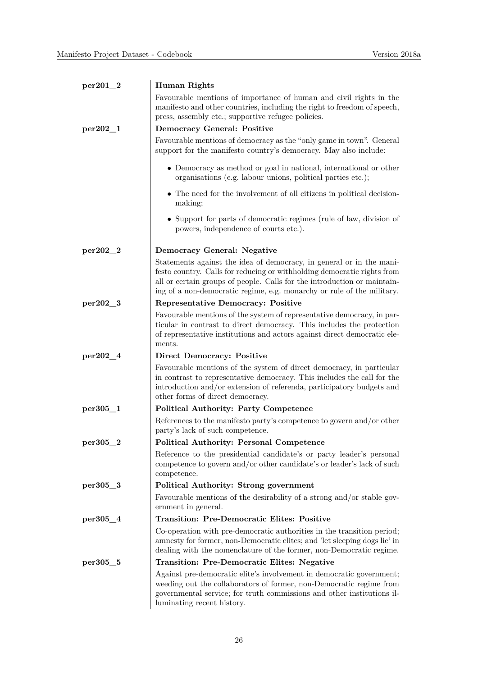| $per201_2$   | Human Rights                                                                                                                                                                                                                                                                                          |
|--------------|-------------------------------------------------------------------------------------------------------------------------------------------------------------------------------------------------------------------------------------------------------------------------------------------------------|
|              | Favourable mentions of importance of human and civil rights in the<br>manifesto and other countries, including the right to freedom of speech,<br>press, assembly etc.; supportive refugee policies.                                                                                                  |
| $per202_{1}$ | <b>Democracy General: Positive</b>                                                                                                                                                                                                                                                                    |
|              | Favourable mentions of democracy as the "only game in town". General<br>support for the manifesto country's democracy. May also include:                                                                                                                                                              |
|              | • Democracy as method or goal in national, international or other<br>organisations (e.g. labour unions, political parties etc.);                                                                                                                                                                      |
|              | • The need for the involvement of all citizens in political decision-<br>making;                                                                                                                                                                                                                      |
|              | • Support for parts of democratic regimes (rule of law, division of<br>powers, independence of courts etc.).                                                                                                                                                                                          |
| $per202 - 2$ | Democracy General: Negative                                                                                                                                                                                                                                                                           |
|              | Statements against the idea of democracy, in general or in the mani-<br>festo country. Calls for reducing or withholding democratic rights from<br>all or certain groups of people. Calls for the introduction or maintain-<br>ing of a non-democratic regime, e.g. monarchy or rule of the military. |
| per202_3     | <b>Representative Democracy: Positive</b>                                                                                                                                                                                                                                                             |
|              | Favourable mentions of the system of representative democracy, in par-<br>ticular in contrast to direct democracy. This includes the protection<br>of representative institutions and actors against direct democratic ele-<br>ments.                                                                 |
| per202_4     | <b>Direct Democracy: Positive</b>                                                                                                                                                                                                                                                                     |
|              | Favourable mentions of the system of direct democracy, in particular<br>in contrast to representative democracy. This includes the call for the<br>introduction and/or extension of referenda, participatory budgets and<br>other forms of direct democracy.                                          |
| per305_1     | <b>Political Authority: Party Competence</b>                                                                                                                                                                                                                                                          |
|              | References to the manifesto party's competence to govern and/or other<br>party's lack of such competence.                                                                                                                                                                                             |
| $per305_2$   | <b>Political Authority: Personal Competence</b>                                                                                                                                                                                                                                                       |
|              | Reference to the presidential candidate's or party leader's personal<br>competence to govern and/or other candidate's or leader's lack of such<br>competence.                                                                                                                                         |
| per305_3     | Political Authority: Strong government                                                                                                                                                                                                                                                                |
|              | Favourable mentions of the desirability of a strong and/or stable gov-<br>ernment in general.                                                                                                                                                                                                         |
| $per305\_4$  | <b>Transition: Pre-Democratic Elites: Positive</b>                                                                                                                                                                                                                                                    |
|              | Co-operation with pre-democratic authorities in the transition period;<br>amnesty for former, non-Democratic elites; and 'let sleeping dogs lie' in<br>dealing with the nomenclature of the former, non-Democratic regime.                                                                            |
| per305_5     | <b>Transition: Pre-Democratic Elites: Negative</b>                                                                                                                                                                                                                                                    |
|              | Against pre-democratic elite's involvement in democratic government;<br>weeding out the collaborators of former, non-Democratic regime from<br>governmental service; for truth commissions and other institutions il-<br>luminating recent history.                                                   |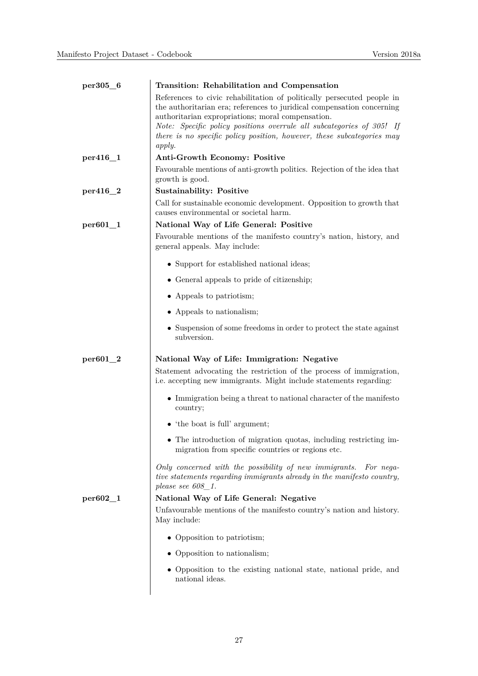| per305_6     | Transition: Rehabilitation and Compensation                                                                                                                                                                                                                                                                                                                        |
|--------------|--------------------------------------------------------------------------------------------------------------------------------------------------------------------------------------------------------------------------------------------------------------------------------------------------------------------------------------------------------------------|
|              | References to civic rehabilitation of politically persecuted people in<br>the authoritarian era; references to juridical compensation concerning<br>authoritarian expropriations; moral compensation.<br>Note: Specific policy positions overrule all subcategories of 305! If<br>there is no specific policy position, however, these subcategories may<br>apply. |
| $per416\_1$  | Anti-Growth Economy: Positive                                                                                                                                                                                                                                                                                                                                      |
|              | Favourable mentions of anti-growth politics. Rejection of the idea that<br>growth is good.                                                                                                                                                                                                                                                                         |
| $per416_2$   | <b>Sustainability: Positive</b>                                                                                                                                                                                                                                                                                                                                    |
|              | Call for sustainable economic development. Opposition to growth that<br>causes environmental or societal harm.                                                                                                                                                                                                                                                     |
| $per601_1$   | National Way of Life General: Positive                                                                                                                                                                                                                                                                                                                             |
|              | Favourable mentions of the manifesto country's nation, history, and<br>general appeals. May include:                                                                                                                                                                                                                                                               |
|              | • Support for established national ideas;                                                                                                                                                                                                                                                                                                                          |
|              | • General appeals to pride of citizenship;                                                                                                                                                                                                                                                                                                                         |
|              | • Appeals to patriotism;                                                                                                                                                                                                                                                                                                                                           |
|              | • Appeals to nationalism;                                                                                                                                                                                                                                                                                                                                          |
|              | • Suspension of some freedoms in order to protect the state against<br>subversion.                                                                                                                                                                                                                                                                                 |
| $per601_2$   | National Way of Life: Immigration: Negative<br>Statement advocating the restriction of the process of immigration,<br>i.e. accepting new immigrants. Might include statements regarding:                                                                                                                                                                           |
|              | $\bullet$ Immigration being a threat to national character of the manifesto<br>country;                                                                                                                                                                                                                                                                            |
|              | • 'the boat is full' argument;                                                                                                                                                                                                                                                                                                                                     |
|              | The introduction of migration quotas, including restricting im-<br>migration from specific countries or regions etc.                                                                                                                                                                                                                                               |
|              | Only concerned with the possibility of new immigrants. For nega-<br>tive statements regarding immigrants already in the manifesto country,<br>please see $608\_1$ .                                                                                                                                                                                                |
| $per602 - 1$ | National Way of Life General: Negative                                                                                                                                                                                                                                                                                                                             |
|              | Unfavourable mentions of the manifesto country's nation and history.<br>May include:                                                                                                                                                                                                                                                                               |
|              | • Opposition to patriotism;                                                                                                                                                                                                                                                                                                                                        |
|              | • Opposition to nationalism;                                                                                                                                                                                                                                                                                                                                       |
|              | • Opposition to the existing national state, national pride, and<br>national ideas.                                                                                                                                                                                                                                                                                |
|              |                                                                                                                                                                                                                                                                                                                                                                    |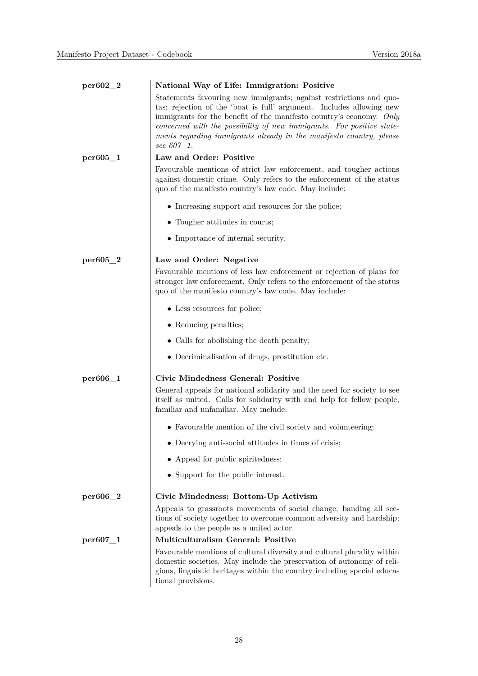| $per602_2$ | National Way of Life: Immigration: Positive                                                                                                                                                                                                                                                                                                                                     |
|------------|---------------------------------------------------------------------------------------------------------------------------------------------------------------------------------------------------------------------------------------------------------------------------------------------------------------------------------------------------------------------------------|
|            | Statements favouring new immigrants; against restrictions and quo-<br>tas; rejection of the 'boat is full' argument. Includes allowing new<br>immigrants for the benefit of the manifesto country's economy. Only<br>concerned with the possibility of new immigrants. For positive state-<br>ments regarding immigrants already in the manifesto country, please<br>see 607 1. |
| per605_1   | Law and Order: Positive                                                                                                                                                                                                                                                                                                                                                         |
|            | Favourable mentions of strict law enforcement, and tougher actions<br>against domestic crime. Only refers to the enforcement of the status<br>quo of the manifesto country's law code. May include:                                                                                                                                                                             |
|            | • Increasing support and resources for the police;                                                                                                                                                                                                                                                                                                                              |
|            | • Tougher attitudes in courts;                                                                                                                                                                                                                                                                                                                                                  |
|            | • Importance of internal security.                                                                                                                                                                                                                                                                                                                                              |
| per605_2   | Law and Order: Negative                                                                                                                                                                                                                                                                                                                                                         |
|            | Favourable mentions of less law enforcement or rejection of plans for<br>stronger law enforcement. Only refers to the enforcement of the status<br>quo of the manifesto country's law code. May include:                                                                                                                                                                        |
|            | • Less resources for police;                                                                                                                                                                                                                                                                                                                                                    |
|            | • Reducing penalties;                                                                                                                                                                                                                                                                                                                                                           |
|            | • Calls for abolishing the death penalty;                                                                                                                                                                                                                                                                                                                                       |
|            | • Decriminalisation of drugs, prostitution etc.                                                                                                                                                                                                                                                                                                                                 |
| per606_1   | Civic Mindedness General: Positive                                                                                                                                                                                                                                                                                                                                              |
|            | General appeals for national solidarity and the need for society to see<br>itself as united. Calls for solidarity with and help for fellow people,<br>familiar and unfamiliar. May include:                                                                                                                                                                                     |
|            | • Favourable mention of the civil society and volunteering;                                                                                                                                                                                                                                                                                                                     |
|            | $\bullet$ Decrying anti-social attitudes in times of crisis;                                                                                                                                                                                                                                                                                                                    |
|            | • Appeal for public spiritedness;                                                                                                                                                                                                                                                                                                                                               |
|            | • Support for the public interest.                                                                                                                                                                                                                                                                                                                                              |
| per606_2   | Civic Mindedness: Bottom-Up Activism                                                                                                                                                                                                                                                                                                                                            |
|            | Appeals to grassroots movements of social change; banding all sec-<br>tions of society together to overcome common adversity and hardship;<br>appeals to the people as a united actor.                                                                                                                                                                                          |
| per607_1   | <b>Multiculturalism General: Positive</b>                                                                                                                                                                                                                                                                                                                                       |
|            | Favourable mentions of cultural diversity and cultural plurality within<br>domestic societies. May include the preservation of autonomy of reli-<br>gious, linguistic heritages within the country including special educa-<br>tional provisions.                                                                                                                               |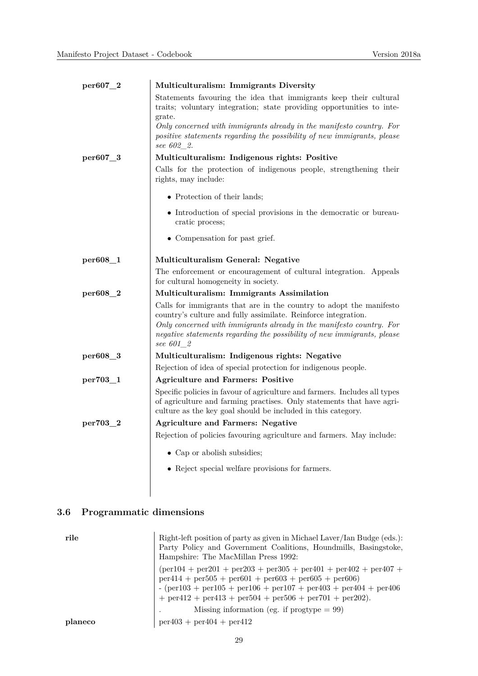| per607_2 | Multiculturalism: Immigrants Diversity                                                                                                                                                                                                                                                                |
|----------|-------------------------------------------------------------------------------------------------------------------------------------------------------------------------------------------------------------------------------------------------------------------------------------------------------|
|          | Statements favouring the idea that immigrants keep their cultural<br>traits; voluntary integration; state providing opportunities to inte-<br>grate.                                                                                                                                                  |
|          | Only concerned with immigrants already in the manifesto country. For<br>positive statements regarding the possibility of new immigrants, please<br>see 602_2.                                                                                                                                         |
| per607_3 | Multiculturalism: Indigenous rights: Positive                                                                                                                                                                                                                                                         |
|          | Calls for the protection of indigenous people, strengthening their<br>rights, may include:                                                                                                                                                                                                            |
|          | • Protection of their lands;                                                                                                                                                                                                                                                                          |
|          | • Introduction of special provisions in the democratic or bureau-<br>cratic process;                                                                                                                                                                                                                  |
|          | • Compensation for past grief.                                                                                                                                                                                                                                                                        |
| per608_1 | Multiculturalism General: Negative                                                                                                                                                                                                                                                                    |
|          | The enforcement or encouragement of cultural integration. Appeals<br>for cultural homogeneity in society.                                                                                                                                                                                             |
| per608_2 | Multiculturalism: Immigrants Assimilation                                                                                                                                                                                                                                                             |
|          | Calls for immigrants that are in the country to adopt the manifesto<br>country's culture and fully assimilate. Reinforce integration.<br>Only concerned with immigrants already in the manifesto country. For<br>negative statements regarding the possibility of new immigrants, please<br>see 601_2 |
| per608_3 | Multiculturalism: Indigenous rights: Negative                                                                                                                                                                                                                                                         |
|          | Rejection of idea of special protection for indigenous people.                                                                                                                                                                                                                                        |
| per703_1 | <b>Agriculture and Farmers: Positive</b>                                                                                                                                                                                                                                                              |
|          | Specific policies in favour of agriculture and farmers. Includes all types<br>of agriculture and farming practises. Only statements that have agri-<br>culture as the key goal should be included in this category.                                                                                   |
| per703_2 | <b>Agriculture and Farmers: Negative</b>                                                                                                                                                                                                                                                              |
|          | Rejection of policies favouring agriculture and farmers. May include:                                                                                                                                                                                                                                 |
|          | • Cap or abolish subsidies;                                                                                                                                                                                                                                                                           |
|          | • Reject special welfare provisions for farmers.                                                                                                                                                                                                                                                      |

# **3.6 Programmatic dimensions**

| rile    | Right-left position of party as given in Michael Laver/Ian Budge (eds.):<br>Party Policy and Government Coalitions, Houndmills, Basingstoke,<br>Hampshire: The MacMillan Press 1992:                                                                                                                                            |
|---------|---------------------------------------------------------------------------------------------------------------------------------------------------------------------------------------------------------------------------------------------------------------------------------------------------------------------------------|
|         | $per104 + per201 + per203 + per305 + per401 + per402 + per407 +$<br>$per414 + per505 + per601 + per603 + per605 + per606$<br>$-(\text{per}103 + \text{per}105 + \text{per}106 + \text{per}107 + \text{per}403 + \text{per}404 + \text{per}406)$<br>$+$ per $412 +$ per $413 +$ per $504 +$ per $506 +$ per $701 +$ per $202$ ). |
|         | Missing information (eg. if $\text{progtype} = 99$ )                                                                                                                                                                                                                                                                            |
| planeco | $per403 + per404 + per412$                                                                                                                                                                                                                                                                                                      |